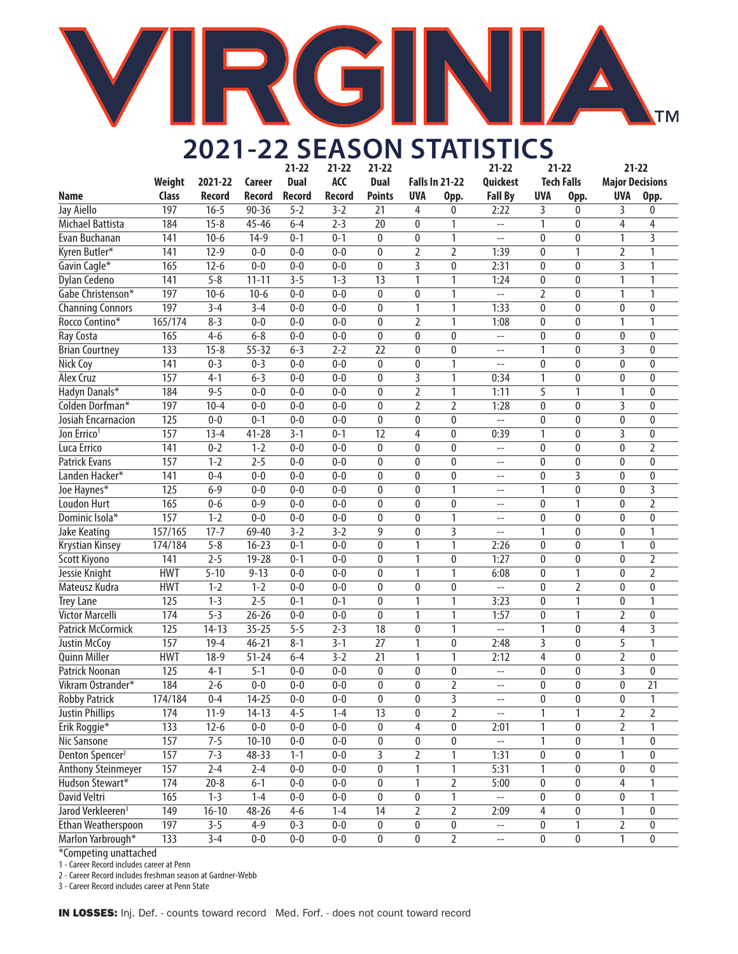# G **TM**

# **2021-22 SEASON STATISTICS**

|                               |                  |               |           | $21 - 22$     | $21 - 22$     | $21 - 22$               |                |                       | $21 - 22$                  | $21 - 22$      |                   | $21 - 22$              |                  |
|-------------------------------|------------------|---------------|-----------|---------------|---------------|-------------------------|----------------|-----------------------|----------------------------|----------------|-------------------|------------------------|------------------|
|                               | Weight           | 2021-22       | Career    | <b>Dual</b>   | ACC           | <b>Dual</b>             |                | <b>Falls In 21-22</b> | Quickest                   |                | <b>Tech Falls</b> | <b>Major Decisions</b> |                  |
| Name                          | <b>Class</b>     | <b>Record</b> | Record    | <b>Record</b> | <b>Record</b> | <b>Points</b>           | <b>UVA</b>     | Opp.                  | <b>Fall By</b>             | <b>UVA</b>     | Opp.              | <b>UVA</b>             | Opp.             |
| Jay Aiello                    | 197              | $16 - 5$      | $90 - 36$ | $5 - 2$       | $3 - 2$       | 21                      | 4              | 0                     | 2:22                       | 3              | 0                 | 3                      | 0                |
| Michael Battista              | 184              | $15 - 8$      | $45 - 46$ | $6 - 4$       | $2 - 3$       | 20                      | $\mathbf{0}$   | 1                     | $\overline{a}$             | 1              | 0                 | 4                      | 4                |
| Evan Buchanan                 | 141              | $10 - 6$      | $14-9$    | $0 - 1$       | $0 - 1$       | $\mathbf{0}$            | $\mathbf{0}$   | 1                     | $\overline{\phantom{m}}$   | 0              | $\mathbf{0}$      | 1                      | 3                |
| Kyren Butler*                 | 141              | $12-9$        | $0 - 0$   | $0 - 0$       | $0 - 0$       | 0                       | 2              | 2                     | 1:39                       | 0              | 1                 | 2                      | 1                |
| Gavin Cagle*                  | 165              | $12 - 6$      | $0 - 0$   | $0 - 0$       | $0 - 0$       | $\mathbf{0}$            | 3              | 0                     | 2:31                       | 0              | $\mathbf{0}$      | 3                      | 1                |
| Dylan Cedeno                  | 141              | $5 - 8$       | $11 - 11$ | $3 - 5$       | $1 - 3$       | 13                      | 1              | 1                     | 1:24                       | 0              | $\mathbf{0}$      | 1                      | 1                |
| Gabe Christenson*             | 197              | $10-6$        | $10-6$    | $0 - 0$       | $0 - 0$       | 0                       | $\mathbf{0}$   | 1                     | $\overline{a}$             | $\overline{2}$ | 0                 | 1                      | 1                |
| <b>Channing Connors</b>       | 197              | $3 - 4$       | $3 - 4$   | $0 - 0$       | $0 - 0$       | 0                       | 1              | 1                     | 1:33                       | $\pmb{0}$      | 0                 | 0                      | 0                |
| Rocco Contino*                | 165/174          | $8 - 3$       | $0 - 0$   | $0 - 0$       | $0 - 0$       | 0                       | 2              | 1                     | 1:08                       | 0              | 0                 | 1                      | 1                |
| Ray Costa                     | 165              | $4-6$         | $6 - 8$   | $0 - 0$       | $0 - 0$       | 0                       | $\mathbf{0}$   | 0                     | $\overline{\phantom{m}}$   | 0              | 0                 | 0                      | $\mathbf{0}$     |
| <b>Brian Courtney</b>         | 133              | $15 - 8$      | $55 - 32$ | $6 - 3$       | $2 - 2$       | $\overline{22}$         | $\mathbf{0}$   | 0                     | $-$                        | 1              | 0                 | 3                      | $\mathbf{0}$     |
| Nick Coy                      | $\overline{141}$ | $0 - 3$       | $0 - 3$   | $0 - 0$       | $0 - 0$       | 0                       | 0              | 1                     | $\overline{a}$             | 0              | $\mathbf{0}$      | 0                      | $\mathbf{0}$     |
| Alex Cruz                     | 157              | $4 - 1$       | $6 - 3$   | $0 - 0$       | $0 - 0$       | 0                       | 3              | 1                     | 0:34                       | 1              | 0                 | 0                      | $\mathbf{0}$     |
| Hadyn Danals*                 | 184              | $9 - 5$       | $0 - 0$   | $0 - 0$       | $0 - 0$       | 0                       | 2              | 1                     | 1:11                       | $\overline{5}$ | 1                 | 1                      | $\mathbf{0}$     |
| Colden Dorfman*               | 197              | $10 - 4$      | $0 - 0$   | $0 - 0$       | $0 - 0$       | 0                       | 2              | $\overline{2}$        | 1:28                       | 0              | 0                 | 3                      | 0                |
| Josiah Encarnacion            | 125              | $0 - 0$       | $0 - 1$   | $0 - 0$       | $0 - 0$       | 0                       | $\mathbf{0}$   | 0                     | ц.                         | 0              | 0                 | 0                      | 0                |
| Jon Errico <sup>1</sup>       | 157              | $13 - 4$      | $41 - 28$ | $3 - 1$       | $0 - 1$       | 12                      | 4              | $\bf{0}$              | 0:39                       | 1              | 0                 | 3                      | 0                |
| Luca Errico                   | 141              | $0 - 2$       | $1 - 2$   | $0 - 0$       | $0 - 0$       | $\mathbf{0}$            | $\mathbf{0}$   | $\mathbf{0}$          | $\overline{\phantom{a}}$   | 0              | $\mathbf{0}$      | 0                      | 2                |
| <b>Patrick Evans</b>          | 157              | $1 - 2$       | $2 - 5$   | $0 - 0$       | $0 - 0$       | $\mathbf{0}$            | $\mathbf{0}$   | $\mathbf{0}$          | $\overline{\phantom{m}}$   | 0              | $\mathbf{0}$      | 0                      | $\bf{0}$         |
| Landen Hacker*                | 141              | $0 - 4$       | $0 - 0$   | $0 - 0$       | $0 - 0$       | 0                       | $\mathbf{0}$   | 0                     | $-$                        | 0              | 3                 | 0                      | $\mathbf{0}$     |
| Joe Haynes*                   | 125              | $6 - 9$       | $0 - 0$   | $0 - 0$       | $0 - 0$       | 0                       | $\mathbf{0}$   | 1                     | $-$                        | 1              | 0                 | 0                      | 3                |
| <b>Loudon Hurt</b>            | 165              | $0 - 6$       | $0 - 9$   | $0 - 0$       | $0 - 0$       | 0                       | $\mathbf{0}$   | $\pmb{0}$             | $-$                        | 0              | 1                 | 0                      | $\overline{2}$   |
| Dominic Isola*                | 157              | $1 - 2$       | $0 - 0$   | $0 - 0$       | $0 - 0$       | 0                       | 0              | 1                     | $- -$                      | 0              | 0                 | 0                      | 0                |
| <b>Jake Keating</b>           | 157/165          | $17 - 7$      | 69-40     | $3 - 2$       | $3 - 2$       | 9                       | 0              | $\overline{3}$        | $\overline{a}$             | 1              | 0                 | 0                      | 1                |
| Krystian Kinsey               | 174/184          | $5 - 8$       | $16 - 23$ | $0 - 1$       | $0 - 0$       | $\overline{0}$          | 1              | $\mathbf{1}$          | 2:26                       | 0              | $\mathbf 0$       | 1                      | $\mathbf{0}$     |
| Scott Kiyono                  | 141              | $2 - 5$       | $19 - 28$ | $0 - 1$       | $0 - 0$       | 0                       | 1              | 0                     | 1:27                       | 0              | 0                 | 0                      | $\overline{2}$   |
| Jessie Knight                 | <b>HWT</b>       | $5 - 10$      | $9 - 13$  | $0 - 0$       | $0 - 0$       | 0                       | 1              | 1                     | 6:08                       | 0              | 1                 | 0                      | 2                |
| Mateusz Kudra                 | <b>HWT</b>       | $1 - 2$       | $1 - 2$   | $0 - 0$       | $0 - 0$       | 0                       | $\mathbf{0}$   | 0                     | цц.                        | 0              | $\overline{2}$    | 0                      | 0                |
| <b>Trey Lane</b>              | $\overline{125}$ | $1 - 3$       | $2 - 5$   | $0 - 1$       | $0 - 1$       | 0                       | 1              | 1                     | 3:23                       | $\pmb{0}$      | 1                 | 0                      | 1                |
| <b>Victor Marcelli</b>        | 174              | $5 - 3$       | $26 - 26$ | $0 - 0$       | $0 - 0$       | 0                       | 1              | 1                     | 1:57                       | 0              | 1                 | 2                      | 0                |
| <b>Patrick McCormick</b>      | $\overline{125}$ | $14 - 13$     | $35 - 25$ | $5 - 5$       | $2 - 3$       | 18                      | 0              | 1                     | $\overline{a}$             | 1              | 0                 | 4                      | 3                |
| <b>Justin McCoy</b>           | 157              | $19 - 4$      | $46 - 21$ | $8 - 1$       | $3 - 1$       | 27                      | 1              | 0                     | 2:48                       | 3              | 0                 | $\overline{5}$         | 1                |
| <b>Quinn Miller</b>           | <b>HWT</b>       | $18-9$        | $51 - 24$ | $6 - 4$       | $3 - 2$       | 21                      | 1              | 1                     | 2:12                       | 4              | 0                 | $\overline{2}$         | $\boldsymbol{0}$ |
| Patrick Noonan                | 125              | $4 - 1$       | $5 - 1$   | $0 - 0$       | $0 - 0$       | 0                       | 0              | 0                     | $\overline{a}$             | 0              | 0                 | 3                      | $\mathbf{0}$     |
| Vikram Ostrander*             | 184              | $2 - 6$       | $0 - 0$   | $0 - 0$       | $0 - 0$       | 0                       | 0              | 2                     | $\overline{a}$             | 0              | 0                 | $\bf{0}$               | $\overline{21}$  |
| <b>Robby Patrick</b>          | 174/184          | $0 - 4$       | $14 - 25$ | $0 - 0$       | $0 - 0$       | 0                       | $\Omega$       | 3                     | $\overline{a}$             | 0              | $\theta$          | $\mathbf{0}$           | 1                |
| <b>Justin Phillips</b>        | 174              | $11-9$        | $14 - 13$ | $4 - 5$       | $1 - 4$       | 13                      | 0              | $\overline{2}$        | $\overline{\phantom{a}}$   | 1              | 1                 | 2                      | 2                |
| Erik Roggie*                  | 133              | $12 - 6$      | $0-0$     | $0 - 0$       | $0 - 0$       | 0                       | 4              | 0                     | 2:01                       | $\mathbf{1}$   | 0                 | $\overline{2}$         | 1                |
| Nic Sansone                   | 157              | $7 - 5$       | $10 - 10$ | $0 - 0$       | $0 - 0$       | 0                       | 0              | 0                     | $\mathcal{L}(\mathcal{L})$ | $\mathbf{1}$   | 0                 | 1                      | 0                |
| Denton Spencer <sup>2</sup>   | 157              | $7 - 3$       | 48-33     | $1 - 1$       | $0 - 0$       | $\overline{\mathbf{3}}$ | $\overline{2}$ | 1                     | 1:31                       | 0              | 0                 | 1                      | 0                |
| <b>Anthony Steinmeyer</b>     | 157              | $2 - 4$       | $2 - 4$   | $0 - 0$       | $0 - 0$       | 0                       | 1              | 1                     | 5:31                       | 1              | 0                 | $\pmb{0}$              | 0                |
| Hudson Stewart*               | 174              | $20 - 8$      | $6 - 1$   | $0 - 0$       | $0-0$         | 0                       | 1              | $\overline{2}$        | 5:00                       | 0              | 0                 | $\overline{4}$         | 1                |
| David Veltri                  | 165              | $1 - 3$       | $1 - 4$   | $0 - 0$       | $0-0$         | 0                       | 0              | 1                     | $\bar{\phantom{a}}$        | 0              | 0                 | 0                      | 1                |
| Jarod Verkleeren <sup>3</sup> | 149              | $16 - 10$     | 48-26     | $4 - 6$       | $1 - 4$       | 14                      | $\overline{2}$ | $\overline{2}$        | 2:09                       | 4              | 0                 | 1                      | $\mathbf{0}$     |
| Ethan Weatherspoon            | 197              | $3 - 5$       | $4 - 9$   | $0 - 3$       | $0-0$         | $\pmb{0}$               | 0              | 0                     | $\overline{\phantom{a}}$   | 0              | 1                 | $\overline{2}$         | $\bf{0}$         |
| Marlon Yarbrough*             | 133              | $3 - 4$       | $0-0$     | $0-0$         | $0-0$         | 0                       | 0              | $\overline{2}$        | $\mathbb{H}^{\mathbb{Z}}$  | 0              | 0                 | 1                      | $\pmb{0}$        |

\*Competing unattached

1 - Career Record includes career at Penn

2 - Career Record includes freshman season at Gardner-Webb

3 - Career Record includes career at Penn State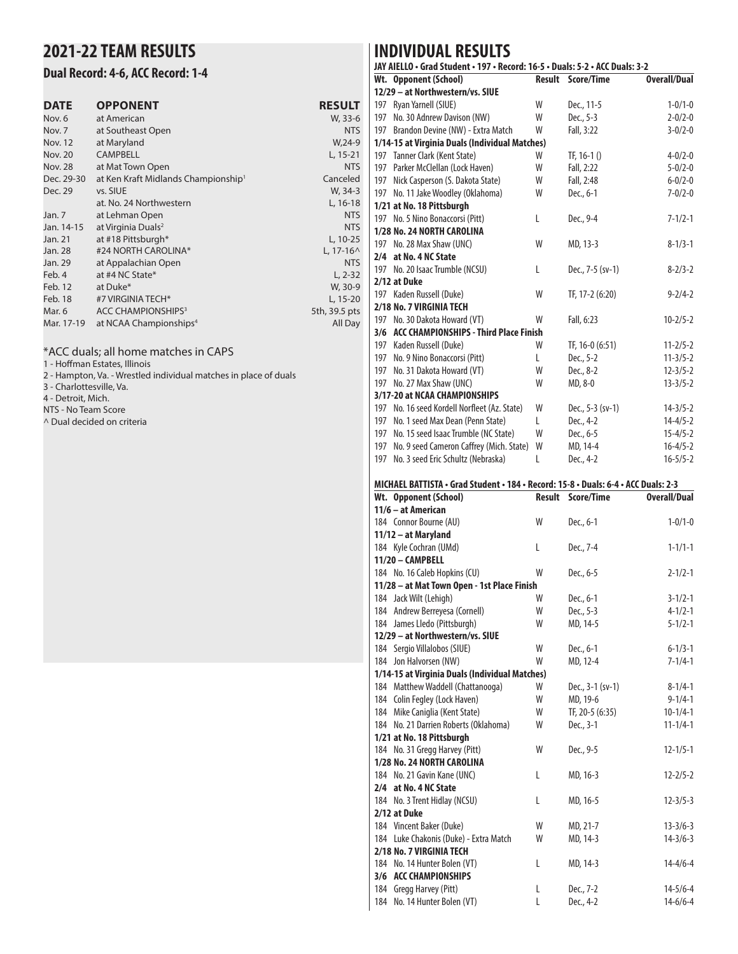## **2021-22 TEAM RESULTS**

#### **Dual Record: 4-6, ACC Record: 1-4**

| <b>DATE</b>    | <b>OPPONENT</b>                                 | <b>RESULT</b> |
|----------------|-------------------------------------------------|---------------|
| Nov. 6         | at American                                     | W, 33-6       |
| Nov. 7         | at Southeast Open                               | <b>NTS</b>    |
| <b>Nov. 12</b> | at Maryland                                     | $W, 24-9$     |
| <b>Nov. 20</b> | <b>CAMPBELL</b>                                 | $L, 15-21$    |
| <b>Nov. 28</b> | at Mat Town Open                                | <b>NTS</b>    |
| Dec. 29-30     | at Ken Kraft Midlands Championship <sup>1</sup> | Canceled      |
| Dec. 29        | vs. SIUE                                        | W, 34-3       |
|                | at. No. 24 Northwestern                         | L, 16-18      |
| Jan. 7         | at Lehman Open                                  | <b>NTS</b>    |
| Jan. 14-15     | at Virginia Duals <sup>2</sup>                  | <b>NTS</b>    |
| Jan. 21        | at #18 Pittsburgh*                              | L, 10-25      |
| Jan. 28        | #24 NORTH CAROLINA*                             | $L.17 - 16^$  |
| Jan. 29        | at Appalachian Open                             | <b>NTS</b>    |
| Feb. 4         | at #4 NC State*                                 | $L, 2-32$     |
| Feb. 12        | at Duke*                                        | W, 30-9       |
| Feb. 18        | #7 VIRGINIA TECH*                               | L, 15-20      |
| Mar. 6         | ACC CHAMPIONSHIPS <sup>3</sup>                  | 5th, 39.5 pts |
| Mar. 17-19     | at NCAA Championships <sup>4</sup>              | All Day       |
|                |                                                 |               |

#### \*ACC duals; all home matches in CAPS

1 - Hoffman Estates, Illinois

2 - Hampton, Va. - Wrestled individual matches in place of duals

3 - Charlottesville, Va.

4 - Detroit, Mich.

NTS - No Team Score

^ Dual decided on criteria

### **INDIVIDUAL RESULTS**

| JAY AIELLO • Grad Student • 197 • Record: 16-5 • Duals: 5-2 • ACC Duals: 3-2 |                                                |        |                  |                     |  |  |  |
|------------------------------------------------------------------------------|------------------------------------------------|--------|------------------|---------------------|--|--|--|
|                                                                              | Wt. Opponent (School)                          | Result | Score/Time       | <b>Overall/Dual</b> |  |  |  |
|                                                                              | 12/29 - at Northwestern/vs. SIUE               |        |                  |                     |  |  |  |
| 197                                                                          | Ryan Yarnell (SIUE)                            | W      | Dec., 11-5       | $1 - 0/1 - 0$       |  |  |  |
| 197                                                                          | No. 30 Adnrew Davison (NW)                     | W      | Dec., 5-3        | $2 - 0/2 - 0$       |  |  |  |
| 197                                                                          | Brandon Devine (NW) - Extra Match              | W      | Fall, 3:22       | $3 - 0/2 - 0$       |  |  |  |
|                                                                              | 1/14-15 at Virginia Duals (Individual Matches) |        |                  |                     |  |  |  |
|                                                                              | 197 Tanner Clark (Kent State)                  | W      | TF, $16-1()$     | $4 - 0/2 - 0$       |  |  |  |
|                                                                              | 197 Parker McClellan (Lock Haven)              | W      | Fall, 2:22       | $5 - 0/2 - 0$       |  |  |  |
| 197                                                                          | Nick Casperson (S. Dakota State)               | W      | Fall, 2:48       | $6 - 0/2 - 0$       |  |  |  |
| 197                                                                          | No. 11 Jake Woodley (Oklahoma)                 | W      | Dec., 6-1        | $7 - 0/2 - 0$       |  |  |  |
|                                                                              | 1/21 at No. 18 Pittsburgh                      |        |                  |                     |  |  |  |
|                                                                              | 197 No. 5 Nino Bonaccorsi (Pitt)               | L      | Dec., 9-4        | $7 - 1/2 - 1$       |  |  |  |
|                                                                              | 1/28 No. 24 NORTH CAROLINA                     |        |                  |                     |  |  |  |
|                                                                              | 197 No. 28 Max Shaw (UNC)                      | W      | MD, 13-3         | $8 - 1/3 - 1$       |  |  |  |
|                                                                              | 2/4 at No. 4 NC State                          |        |                  |                     |  |  |  |
| 197                                                                          | No. 20 Isaac Trumble (NCSU)                    | L      | Dec., 7-5 (sv-1) | $8 - 2/3 - 2$       |  |  |  |
|                                                                              | 2/12 at Duke                                   |        |                  |                     |  |  |  |
|                                                                              | 197 Kaden Russell (Duke)                       | W      | TF, 17-2 (6:20)  | $9 - 2/4 - 2$       |  |  |  |
|                                                                              | 2/18 No. 7 VIRGINIA TECH                       |        |                  |                     |  |  |  |
|                                                                              | 197 No. 30 Dakota Howard (VT)                  | W      | Fall, 6:23       | $10 - 2/5 - 2$      |  |  |  |
| 3/6                                                                          | <b>ACC CHAMPIONSHIPS - Third Place Finish</b>  |        |                  |                     |  |  |  |
| 197                                                                          | Kaden Russell (Duke)                           | W      | TF, 16-0 (6:51)  | $11 - 2/5 - 2$      |  |  |  |
| 197                                                                          | No. 9 Nino Bonaccorsi (Pitt)                   | L      | Dec., 5-2        | $11 - 3/5 - 2$      |  |  |  |
| 197                                                                          | No. 31 Dakota Howard (VT)                      | W      | Dec., 8-2        | $12 - 3/5 - 2$      |  |  |  |
| 197                                                                          | No. 27 Max Shaw (UNC)                          | W      | MD, 8-0          | $13 - 3/5 - 2$      |  |  |  |
|                                                                              | 3/17-20 at NCAA CHAMPIONSHIPS                  |        |                  |                     |  |  |  |
| 197                                                                          | No. 16 seed Kordell Norfleet (Az. State)       | W      | Dec., 5-3 (sv-1) | $14 - 3/5 - 2$      |  |  |  |
| 197                                                                          | No. 1 seed Max Dean (Penn State)               | L      | Dec., 4-2        | $14 - 4/5 - 2$      |  |  |  |
| 197                                                                          | No. 15 seed Isaac Trumble (NC State)           | W      | Dec., 6-5        | $15 - 4/5 - 2$      |  |  |  |
| 197                                                                          | No. 9 seed Cameron Caffrey (Mich. State)       | W      | MD, 14-4         | $16 - 4/5 - 2$      |  |  |  |
| 197                                                                          | No. 3 seed Eric Schultz (Nebraska)             | L      | Dec., 4-2        | $16 - 5/5 - 2$      |  |  |  |

#### **MICHAEL BATTISTA • Grad Student • 184 • Record: 15-8 • Duals: 6-4 • ACC Duals: 2-3**

| Wt. Opponent (School)                          | <b>Result</b> | Score/Time         | <b>Overall/Dual</b> |
|------------------------------------------------|---------------|--------------------|---------------------|
| 11/6 - at American                             |               |                    |                     |
| 184 Connor Bourne (AU)                         | W             | Dec., 6-1          | $1 - 0/1 - 0$       |
| 11/12 - at Maryland                            |               |                    |                     |
| 184 Kyle Cochran (UMd)                         | L             | Dec., 7-4          | $1 - 1/1 - 1$       |
| 11/20 - CAMPBELL                               |               |                    |                     |
| 184 No. 16 Caleb Hopkins (CU)                  | W             | Dec., 6-5          | $2 - 1/2 - 1$       |
| 11/28 - at Mat Town Open - 1st Place Finish    |               |                    |                     |
| 184 Jack Wilt (Lehigh)                         | W             | Dec., 6-1          | $3 - 1/2 - 1$       |
| 184 Andrew Berreyesa (Cornell)                 | W             | Dec., 5-3          | $4 - 1/2 - 1$       |
| 184 James Lledo (Pittsburgh)                   | W             | MD, 14-5           | $5 - 1/2 - 1$       |
| 12/29 - at Northwestern/vs. SIUE               |               |                    |                     |
| 184 Sergio Villalobos (SIUE)                   | W             | Dec., 6-1          | $6 - 1/3 - 1$       |
| 184 Jon Halvorsen (NW)                         | W             | MD, 12-4           | $7 - 1/4 - 1$       |
| 1/14-15 at Virginia Duals (Individual Matches) |               |                    |                     |
| 184 Matthew Waddell (Chattanooga)              | W             | Dec., $3-1$ (sv-1) | $8 - 1/4 - 1$       |
| 184 Colin Fegley (Lock Haven)                  | W             | MD, 19-6           | $9 - 1/4 - 1$       |
| 184 Mike Caniglia (Kent State)                 | W             | TF, 20-5 (6:35)    | $10-1/4-1$          |
| 184 No. 21 Darrien Roberts (Oklahoma)          | W             | Dec., 3-1          | $11 - 1/4 - 1$      |
| 1/21 at No. 18 Pittsburgh                      |               |                    |                     |
| 184 No. 31 Gregg Harvey (Pitt)                 | W             | Dec., 9-5          | $12 - 1/5 - 1$      |
| 1/28 No. 24 NORTH CAROLINA                     |               |                    |                     |
| 184 No. 21 Gavin Kane (UNC)                    | L             | MD, 16-3           | $12 - 2/5 - 2$      |
| 2/4 at No. 4 NC State                          |               |                    |                     |
| 184 No. 3 Trent Hidlay (NCSU)                  | L             | MD, 16-5           | $12 - 3/5 - 3$      |
| 2/12 at Duke                                   |               |                    |                     |
| 184 Vincent Baker (Duke)                       | W             | MD, 21-7           | $13 - 3/6 - 3$      |
| 184 Luke Chakonis (Duke) - Extra Match         | W             | MD, 14-3           | $14 - 3/6 - 3$      |
| 2/18 No. 7 VIRGINIA TECH                       |               |                    |                     |
| 184 No. 14 Hunter Bolen (VT)                   | L             | MD, 14-3           | $14 - 4/6 - 4$      |
| 3/6 ACC CHAMPIONSHIPS                          |               |                    |                     |
| 184 Gregg Harvey (Pitt)                        | L             | Dec., 7-2          | $14 - 5/6 - 4$      |
| 184 No. 14 Hunter Bolen (VT)                   | L             | Dec., 4-2          | $14 - 6/6 - 4$      |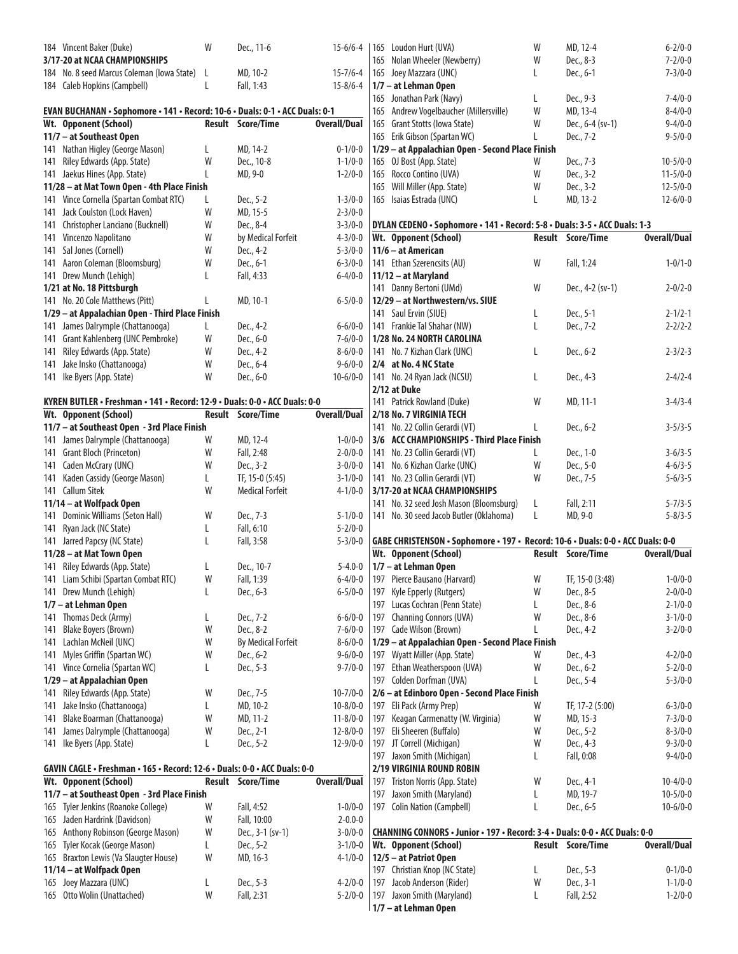| 184 Vincent Baker (Duke)                                                     | W            | Dec., 11-6                | $15 - 6/6 - 4$      |     | 165 Loudon Hurt (UVA)                                                           | W | MD, 12-4                 | $6 - 2/0 - 0$       |
|------------------------------------------------------------------------------|--------------|---------------------------|---------------------|-----|---------------------------------------------------------------------------------|---|--------------------------|---------------------|
| 3/17-20 at NCAA CHAMPIONSHIPS                                                |              |                           |                     | 165 | Nolan Wheeler (Newberry)                                                        | W | Dec., 8-3                | $7 - 2/0 - 0$       |
| 184 No. 8 seed Marcus Coleman (lowa State)                                   | $\mathsf{L}$ | MD, 10-2                  | $15 - 7/6 - 4$      |     | 165 Joey Mazzara (UNC)                                                          | L | Dec., 6-1                | $7 - 3/0 - 0$       |
| 184 Caleb Hopkins (Campbell)                                                 | L            | Fall, 1:43                | $15 - 8/6 - 4$      |     | 1/7 - at Lehman Open                                                            |   |                          |                     |
|                                                                              |              |                           |                     |     | 165 Jonathan Park (Navy)                                                        | L | Dec., 9-3                | $7 - 4/0 - 0$       |
| EVAN BUCHANAN • Sophomore • 141 • Record: 10-6 • Duals: 0-1 • ACC Duals: 0-1 |              |                           |                     | 165 | Andrew Vogelbaucher (Millersville)                                              | W | MD, 13-4                 | $8 - 4/0 - 0$       |
| Wt. Opponent (School)                                                        |              | <b>Result Score/Time</b>  | <b>Overall/Dual</b> | 165 | Grant Stotts (Iowa State)                                                       | W | Dec., 6-4 (sv-1)         | $9 - 4/0 - 0$       |
| 11/7 - at Southeast Open                                                     |              |                           |                     |     | 165 Erik Gibson (Spartan WC)                                                    | L | Dec., 7-2                | $9 - 5/0 - 0$       |
| 141 Nathan Higley (George Mason)                                             | L            | MD, 14-2                  | $0 - 1/0 - 0$       |     | 1/29 - at Appalachian Open - Second Place Finish                                |   |                          |                     |
| 141 Riley Edwards (App. State)                                               | W            | Dec., 10-8                | $1 - 1/0 - 0$       |     | 165 OJ Bost (App. State)                                                        | W | Dec., 7-3                | $10 - 5/0 - 0$      |
| 141 Jaekus Hines (App. State)                                                | L            | MD, 9-0                   | $1 - 2/0 - 0$       |     | 165 Rocco Contino (UVA)                                                         | W | Dec., 3-2                | $11 - 5/0 - 0$      |
| 11/28 - at Mat Town Open - 4th Place Finish                                  |              |                           |                     |     | 165 Will Miller (App. State)                                                    | W | Dec., 3-2                | $12 - 5/0 - 0$      |
| 141 Vince Cornella (Spartan Combat RTC)                                      | L            | Dec., 5-2                 | $1 - 3/0 - 0$       |     | 165 Isaias Estrada (UNC)                                                        | L | MD, 13-2                 | $12 - 6/0 - 0$      |
| 141 Jack Coulston (Lock Haven)                                               | W            | MD, 15-5                  | $2 - 3/0 - 0$       |     |                                                                                 |   |                          |                     |
| 141 Christopher Lanciano (Bucknell)                                          | W            | Dec., 8-4                 | $3 - 3/0 - 0$       |     | DYLAN CEDENO . Sophomore . 141 . Record: 5-8 . Duals: 3-5 . ACC Duals: 1-3      |   |                          |                     |
| 141 Vincenzo Napolitano                                                      | W            | by Medical Forfeit        | $4 - 3/0 - 0$       |     | Wt. Opponent (School)                                                           |   | <b>Result Score/Time</b> | <b>Overall/Dual</b> |
| 141 Sal Jones (Cornell)                                                      | W            | Dec., 4-2                 | $5 - 3/0 - 0$       |     | 11/6 - at American                                                              |   |                          |                     |
| 141 Aaron Coleman (Bloomsburg)                                               | W            | Dec., 6-1                 | $6 - 3/0 - 0$       |     | 141 Ethan Szerencsits (AU)                                                      | W | Fall, 1:24               | $1 - 0/1 - 0$       |
| 141 Drew Munch (Lehigh)                                                      | L            | Fall, 4:33                | $6 - 4/0 - 0$       |     | 11/12 - at Maryland                                                             |   |                          |                     |
| 1/21 at No. 18 Pittsburgh                                                    |              |                           |                     |     | 141 Danny Bertoni (UMd)                                                         | W | Dec., 4-2 (sv-1)         | $2 - 0/2 - 0$       |
| 141 No. 20 Cole Matthews (Pitt)                                              |              | MD, 10-1                  | $6 - 5/0 - 0$       |     | 12/29 - at Northwestern/vs. SIUE                                                |   |                          |                     |
| 1/29 - at Appalachian Open - Third Place Finish                              |              |                           |                     |     | 141 Saul Ervin (SIUE)                                                           | L | Dec., 5-1                | $2 - 1/2 - 1$       |
| 141 James Dalrymple (Chattanooga)                                            | L            | Dec., 4-2                 | $6 - 6/0 - 0$       |     | 141 Frankie Tal Shahar (NW)                                                     | L | Dec., 7-2                | $2 - 2/2 - 2$       |
| 141 Grant Kahlenberg (UNC Pembroke)                                          | W            | Dec., 6-0                 | $7 - 6/0 - 0$       |     | 1/28 No. 24 NORTH CAROLINA                                                      |   |                          |                     |
| 141 Riley Edwards (App. State)                                               | W            | Dec., 4-2                 | $8 - 6/0 - 0$       |     | 141 No. 7 Kizhan Clark (UNC)                                                    | L | Dec., 6-2                | $2 - 3/2 - 3$       |
|                                                                              |              |                           |                     |     |                                                                                 |   |                          |                     |
| 141 Jake Insko (Chattanooga)                                                 | W            | Dec., 6-4                 | $9 - 6/0 - 0$       |     | 2/4 at No. 4 NC State                                                           |   |                          |                     |
| 141 Ike Byers (App. State)                                                   | W            | Dec., 6-0                 | $10 - 6/0 - 0$      |     | 141 No. 24 Ryan Jack (NCSU)                                                     | L | Dec., 4-3                | $2 - 4/2 - 4$       |
|                                                                              |              |                           |                     |     | 2/12 at Duke                                                                    |   |                          |                     |
| KYREN BUTLER • Freshman • 141 • Record: 12-9 • Duals: 0-0 • ACC Duals: 0-0   |              |                           |                     |     | 141 Patrick Rowland (Duke)                                                      | W | MD, 11-1                 | $3-4/3-4$           |
| Wt. Opponent (School)                                                        |              | Result Score/Time         | <b>Overall/Dual</b> |     | 2/18 No. 7 VIRGINIA TECH                                                        |   |                          |                     |
| 11/7 - at Southeast Open - 3rd Place Finish                                  |              |                           |                     |     | 141 No. 22 Collin Gerardi (VT)                                                  | L | Dec., 6-2                | $3 - 5/3 - 5$       |
| 141 James Dalrymple (Chattanooga)                                            | W            | MD, 12-4                  | $1 - 0/0 - 0$       |     | 3/6 ACC CHAMPIONSHIPS - Third Place Finish                                      |   |                          |                     |
| 141 Grant Bloch (Princeton)                                                  | W            | Fall, 2:48                | $2 - 0/0 - 0$       |     | 141 No. 23 Collin Gerardi (VT)                                                  | L | Dec., 1-0                | $3-6/3-5$           |
| 141 Caden McCrary (UNC)                                                      | W            | Dec., 3-2                 | $3 - 0/0 - 0$       |     | 141 No. 6 Kizhan Clarke (UNC)                                                   | W | Dec., 5-0                | $4 - 6/3 - 5$       |
| 141 Kaden Cassidy (George Mason)                                             | L            | TF, 15-0 (5:45)           | $3 - 1/0 - 0$       |     | 141 No. 23 Collin Gerardi (VT)                                                  | W | Dec., 7-5                | $5 - 6/3 - 5$       |
| 141 Callum Sitek                                                             | W            | <b>Medical Forfeit</b>    | $4 - 1/0 - 0$       |     | 3/17-20 at NCAA CHAMPIONSHIPS                                                   |   |                          |                     |
| 11/14 – at Wolfpack Open                                                     |              |                           |                     |     | 141 No. 32 seed Josh Mason (Bloomsburg)                                         | L | Fall, 2:11               | $5 - 7/3 - 5$       |
| 141 Dominic Williams (Seton Hall)                                            | W            | Dec., 7-3                 | $5 - 1/0 - 0$       |     | 141 No. 30 seed Jacob Butler (Oklahoma)                                         | L | MD, 9-0                  | $5 - 8/3 - 5$       |
| 141 Ryan Jack (NC State)                                                     | L            | Fall, 6:10                | $5 - 2/0 - 0$       |     |                                                                                 |   |                          |                     |
| 141 Jarred Papcsy (NC State)                                                 | L            | Fall, 3:58                | $5 - 3/0 - 0$       |     | GABE CHRISTENSON · Sophomore · 197 · Record: 10-6 · Duals: 0-0 · ACC Duals: 0-0 |   |                          |                     |
| 11/28 - at Mat Town Open                                                     |              |                           |                     |     |                                                                                 |   | <b>Result Score/Time</b> | <b>Overall/Dual</b> |
|                                                                              |              |                           |                     |     | Wt. Opponent (School)                                                           |   |                          |                     |
|                                                                              | L            |                           | $5 - 4.0 - 0$       |     |                                                                                 |   |                          |                     |
| 141 Riley Edwards (App. State)                                               |              | Dec., 10-7                |                     |     | 1/7 - at Lehman Open                                                            |   |                          |                     |
| 141 Liam Schibi (Spartan Combat RTC)                                         | W            | Fall, 1:39                | $6 - 4/0 - 0$       |     | 197 Pierce Bausano (Harvard)                                                    | W | TF, 15-0 (3:48)          | $1 - 0/0 - 0$       |
| 141 Drew Munch (Lehigh)                                                      | L            | Dec., 6-3                 | $6 - 5/0 - 0$       |     | 197 Kyle Epperly (Rutgers)                                                      | W | Dec., 8-5                | $2 - 0/0 - 0$       |
| 1/7 - at Lehman Open                                                         |              |                           |                     |     | 197 Lucas Cochran (Penn State)                                                  | L | Dec., 8-6                | $2 - 1/0 - 0$       |
| 141 Thomas Deck (Army)                                                       | L            | Dec., 7-2                 | $6 - 6/0 - 0$       |     | 197 Channing Connors (UVA)                                                      | W | Dec., 8-6                | $3 - 1/0 - 0$       |
| 141 Blake Boyers (Brown)                                                     | W            | Dec., 8-2                 | $7 - 6/0 - 0$       |     | 197 Cade Wilson (Brown)                                                         | L | Dec., 4-2                | $3 - 2/0 - 0$       |
| 141 Lachlan McNeil (UNC)                                                     | W            | <b>By Medical Forfeit</b> | $8 - 6/0 - 0$       |     | 1/29 - at Appalachian Open - Second Place Finish                                |   |                          |                     |
| 141 Myles Griffin (Spartan WC)                                               | W            | Dec., 6-2                 | $9 - 6/0 - 0$       |     | 197 Wyatt Miller (App. State)                                                   | W | Dec., 4-3                | $4 - 2/0 - 0$       |
| 141 Vince Cornelia (Spartan WC)                                              | L            | Dec., 5-3                 | $9 - 7/0 - 0$       |     | 197 Ethan Weatherspoon (UVA)                                                    | W | Dec., 6-2                | $5 - 2/0 - 0$       |
| 1/29 - at Appalachian Open                                                   |              |                           |                     |     | 197 Colden Dorfman (UVA)                                                        | L | Dec., 5-4                | $5 - 3/0 - 0$       |
| 141 Riley Edwards (App. State)                                               | W            | Dec., 7-5                 | $10 - 7/0 - 0$      |     | 2/6 - at Edinboro Open - Second Place Finish                                    |   |                          |                     |
| 141 Jake Insko (Chattanooga)                                                 |              | MD, 10-2                  | $10 - 8/0 - 0$      |     | 197 Eli Pack (Army Prep)                                                        | W | TF, 17-2 (5:00)          | $6 - 3/0 - 0$       |
| 141 Blake Boarman (Chattanooga)                                              | W            | MD, 11-2                  | $11 - 8/0 - 0$      |     | 197 Keagan Carmenatty (W. Virginia)                                             | W | MD, 15-3                 | $7 - 3/0 - 0$       |
| 141 James Dalrymple (Chattanooga)                                            | W            | Dec., 2-1                 | $12 - 8/0 - 0$      | 197 | Eli Sheeren (Buffalo)                                                           | W | Dec., 5-2                | $8 - 3/0 - 0$       |
| 141 Ike Byers (App. State)                                                   | L            | Dec., 5-2                 | $12 - 9/0 - 0$      |     | 197 JT Correll (Michigan)                                                       | W | Dec., 4-3                | $9 - 3/0 - 0$       |
|                                                                              |              |                           |                     |     | 197 Jaxon Smith (Michigan)                                                      | L | Fall, 0:08               | $9 - 4/0 - 0$       |
| GAVIN CAGLE • Freshman • 165 • Record: 12-6 • Duals: 0-0 • ACC Duals: 0-0    |              |                           |                     |     | 2/19 VIRGINIA ROUND ROBIN                                                       |   |                          |                     |
| Wt. Opponent (School)                                                        |              | Result Score/Time         | <b>Overall/Dual</b> | 197 | Triston Norris (App. State)                                                     | W | Dec., 4-1                | $10 - 4/0 - 0$      |
| 11/7 - at Southeast Open - 3rd Place Finish                                  |              |                           |                     |     | 197 Jaxon Smith (Maryland)                                                      | L | MD, 19-7                 | $10 - 5/0 - 0$      |
| 165 Tyler Jenkins (Roanoke College)                                          | W            | Fall, 4:52                | $1 - 0/0 - 0$       |     | 197 Colin Nation (Campbell)                                                     | L | Dec., 6-5                | $10 - 6/0 - 0$      |
| 165 Jaden Hardrink (Davidson)                                                | W            | Fall, 10:00               | $2 - 0.0 - 0$       |     |                                                                                 |   |                          |                     |
| 165 Anthony Robinson (George Mason)                                          | W            | Dec., 3-1 (sv-1)          | $3 - 0/0 - 0$       |     | CHANNING CONNORS · Junior · 197 · Record: 3-4 · Duals: 0-0 · ACC Duals: 0-0     |   |                          |                     |
| 165 Tyler Kocak (George Mason)                                               | L            | Dec., 5-2                 | $3 - 1/0 - 0$       |     | Wt. Opponent (School)                                                           |   | <b>Result Score/Time</b> | <b>Overall/Dual</b> |
| 165 Braxton Lewis (Va Slaugter House)                                        | W            | MD, 16-3                  | $4 - 1/0 - 0$       |     | 12/5 - at Patriot Open                                                          |   |                          |                     |
| 11/14 - at Wolfpack Open                                                     |              |                           |                     |     | 197 Christian Knop (NC State)                                                   | L | Dec., 5-3                | $0 - 1/0 - 0$       |
| 165 Joey Mazzara (UNC)                                                       | L            | Dec., 5-3                 | $4 - 2/0 - 0$       | 197 | Jacob Anderson (Rider)                                                          | W | Dec., 3-1                | $1 - 1/0 - 0$       |
| 165 Otto Wolin (Unattached)                                                  | W            | Fall, 2:31                | $5 - 2/0 - 0$       |     | 197 Jaxon Smith (Maryland)                                                      | L | Fall, 2:52               | $1 - 2/0 - 0$       |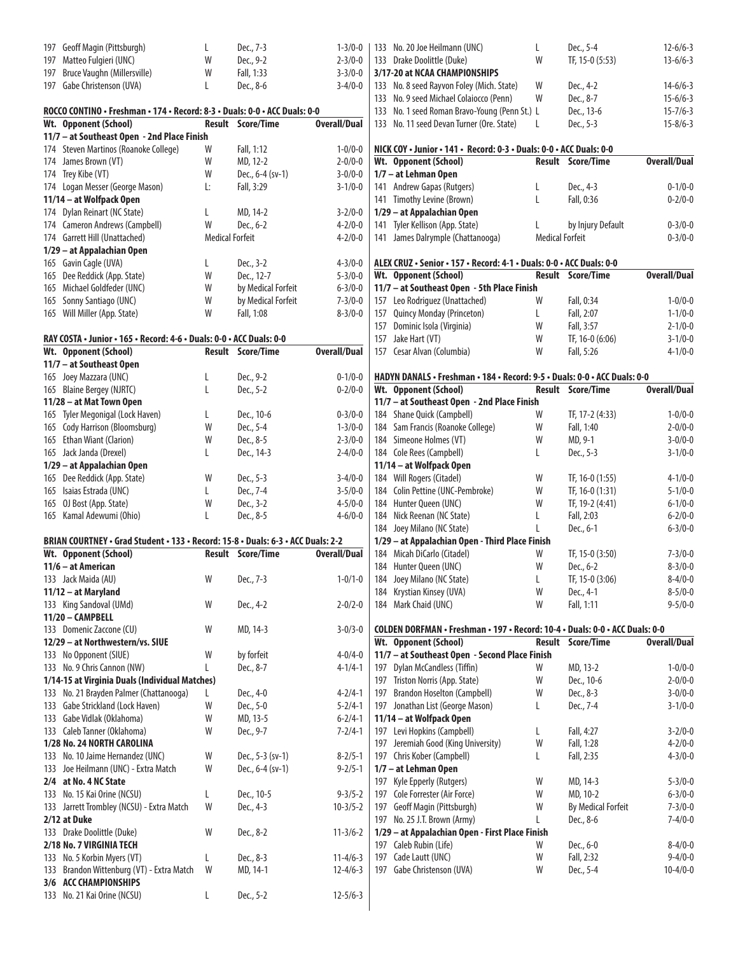| 197 | Geoff Magin (Pittsburgh)                                                         | L                      | Dec., 7-3          | $1 - 3/0 - 0$       | 133 No. 20 Joe Heilmann (UNC)                                                | L                      | Dec., 5-4                 | $12 - 6/6 - 3$      |
|-----|----------------------------------------------------------------------------------|------------------------|--------------------|---------------------|------------------------------------------------------------------------------|------------------------|---------------------------|---------------------|
|     | 197 Matteo Fulgieri (UNC)                                                        | W                      |                    | $2 - 3/0 - 0$       |                                                                              | W                      |                           | $13 - 6/6 - 3$      |
|     |                                                                                  |                        | Dec., 9-2          |                     | 133 Drake Doolittle (Duke)                                                   |                        | TF, 15-0 (5:53)           |                     |
| 197 | Bruce Vaughn (Millersville)                                                      | W                      | Fall, 1:33         | $3 - 3/0 - 0$       | 3/17-20 at NCAA CHAMPIONSHIPS                                                |                        |                           |                     |
|     | 197 Gabe Christenson (UVA)                                                       | L                      | Dec., 8-6          | $3 - 4/0 - 0$       | 133 No. 8 seed Rayvon Foley (Mich. State)                                    | W                      | Dec., 4-2                 | $14-6/6-3$          |
|     |                                                                                  |                        |                    |                     | 133 No. 9 seed Michael Colaiocco (Penn)                                      | W                      | Dec., 8-7                 | $15 - 6/6 - 3$      |
|     | ROCCO CONTINO • Freshman • 174 • Record: 8-3 • Duals: 0-0 • ACC Duals: 0-0       |                        |                    |                     | 133 No. 1 seed Roman Bravo-Young (Penn St.) L                                |                        | Dec., 13-6                | $15 - 7/6 - 3$      |
|     | Wt. Opponent (School)                                                            |                        | Result Score/Time  | <b>Overall/Dual</b> | 133 No. 11 seed Devan Turner (Ore. State)                                    | L                      | Dec., 5-3                 | $15 - 8/6 - 3$      |
|     | 11/7 - at Southeast Open - 2nd Place Finish                                      |                        |                    |                     |                                                                              |                        |                           |                     |
|     | 174 Steven Martinos (Roanoke College)                                            |                        |                    |                     |                                                                              |                        |                           |                     |
|     |                                                                                  | W                      | Fall, 1:12         | $1 - 0/0 - 0$       | NICK COY • Junior • 141 • Record: 0-3 • Duals: 0-0 • ACC Duals: 0-0          |                        |                           |                     |
|     | 174 James Brown (VT)                                                             | W                      | MD, 12-2           | $2 - 0/0 - 0$       | Wt. Opponent (School)                                                        |                        | <b>Result Score/Time</b>  | <b>Overall/Dual</b> |
|     | 174 Trey Kibe (VT)                                                               | W                      | Dec., 6-4 (sv-1)   | $3 - 0/0 - 0$       | 1/7 - at Lehman Open                                                         |                        |                           |                     |
|     | 174 Logan Messer (George Mason)                                                  | Ŀ.                     | Fall, 3:29         | $3 - 1/0 - 0$       | 141 Andrew Gapas (Rutgers)                                                   | L                      | Dec., 4-3                 | $0 - 1/0 - 0$       |
|     | 11/14 - at Wolfpack Open                                                         |                        |                    |                     | 141 Timothy Levine (Brown)                                                   | L                      | Fall, 0:36                | $0 - 2/0 - 0$       |
|     | 174 Dylan Reinart (NC State)                                                     | L                      | MD, 14-2           | $3 - 2/0 - 0$       | 1/29 - at Appalachian Open                                                   |                        |                           |                     |
|     | 174 Cameron Andrews (Campbell)                                                   | W                      | Dec., 6-2          | $4 - 2/0 - 0$       | 141 Tyler Kellison (App. State)                                              | L                      | by Injury Default         | $0 - 3/0 - 0$       |
|     | 174 Garrett Hill (Unattached)                                                    | <b>Medical Forfeit</b> |                    | $4 - 2/0 - 0$       | 141 James Dalrymple (Chattanooga)                                            | <b>Medical Forfeit</b> |                           | $0 - 3/0 - 0$       |
|     |                                                                                  |                        |                    |                     |                                                                              |                        |                           |                     |
|     | 1/29 - at Appalachian Open                                                       |                        |                    |                     |                                                                              |                        |                           |                     |
|     | 165 Gavin Cagle (UVA)                                                            | L                      | Dec., 3-2          | $4 - 3/0 - 0$       | ALEX CRUZ · Senior · 157 · Record: 4-1 · Duals: 0-0 · ACC Duals: 0-0         |                        |                           |                     |
|     | 165 Dee Reddick (App. State)                                                     | W                      | Dec., 12-7         | $5 - 3/0 - 0$       | Wt. Opponent (School)                                                        |                        | <b>Result Score/Time</b>  | <b>Overall/Dual</b> |
|     | 165 Michael Goldfeder (UNC)                                                      | W                      | by Medical Forfeit | $6 - 3/0 - 0$       | 11/7 - at Southeast Open - 5th Place Finish                                  |                        |                           |                     |
|     | 165 Sonny Santiago (UNC)                                                         | W                      | by Medical Forfeit | $7 - 3/0 - 0$       | 157 Leo Rodriguez (Unattached)                                               | W                      | Fall, 0:34                | $1 - 0/0 - 0$       |
|     | 165 Will Miller (App. State)                                                     | W                      | Fall, 1:08         | $8 - 3/0 - 0$       | 157 Quincy Monday (Princeton)                                                | L                      | Fall, 2:07                | $1 - 1/0 - 0$       |
|     |                                                                                  |                        |                    |                     | 157 Dominic Isola (Virginia)                                                 | W                      | Fall, 3:57                | $2 - 1/0 - 0$       |
|     |                                                                                  |                        |                    |                     |                                                                              |                        |                           |                     |
|     | RAY COSTA · Junior · 165 · Record: 4-6 · Duals: 0-0 · ACC Duals: 0-0             |                        |                    |                     | 157 Jake Hart (VT)                                                           | W                      | TF, 16-0 (6:06)           | $3 - 1/0 - 0$       |
|     | Wt. Opponent (School)                                                            |                        | Result Score/Time  | <b>Overall/Dual</b> | 157 Cesar Alvan (Columbia)                                                   | W                      | Fall, 5:26                | $4 - 1/0 - 0$       |
|     | 11/7 - at Southeast Open                                                         |                        |                    |                     |                                                                              |                        |                           |                     |
|     | 165 Joey Mazzara (UNC)                                                           | L                      | Dec., 9-2          | $0 - 1/0 - 0$       | HADYN DANALS . Freshman . 184 . Record: 9-5 . Duals: 0-0 . ACC Duals: 0-0    |                        |                           |                     |
|     | 165 Blaine Bergey (NJRTC)                                                        | L                      | Dec., 5-2          | $0 - 2/0 - 0$       | Wt. Opponent (School)                                                        |                        | <b>Result Score/Time</b>  | <b>Overall/Dual</b> |
|     | 11/28 - at Mat Town Open                                                         |                        |                    |                     | 11/7 - at Southeast Open - 2nd Place Finish                                  |                        |                           |                     |
|     | 165 Tyler Megonigal (Lock Haven)                                                 |                        | Dec., 10-6         | $0 - 3/0 - 0$       | 184 Shane Quick (Campbell)                                                   | W                      | TF, 17-2 (4:33)           | $1 - 0/0 - 0$       |
|     |                                                                                  | L                      |                    |                     |                                                                              |                        |                           |                     |
|     | 165 Cody Harrison (Bloomsburg)                                                   | W                      | Dec., 5-4          | $1 - 3/0 - 0$       | 184 Sam Francis (Roanoke College)                                            | W                      | Fall, 1:40                | $2 - 0/0 - 0$       |
|     | 165 Ethan Wiant (Clarion)                                                        | W                      | Dec., 8-5          | $2 - 3/0 - 0$       | 184 Simeone Holmes (VT)                                                      | W                      | MD, 9-1                   | $3 - 0/0 - 0$       |
|     | 165 Jack Janda (Drexel)                                                          | L                      | Dec., 14-3         | $2 - 4/0 - 0$       | 184 Cole Rees (Campbell)                                                     | L.                     | Dec., 5-3                 | $3 - 1/0 - 0$       |
|     | 1/29 - at Appalachian Open                                                       |                        |                    |                     | 11/14 - at Wolfpack Open                                                     |                        |                           |                     |
|     | 165 Dee Reddick (App. State)                                                     | W                      | Dec., 5-3          | $3 - 4/0 - 0$       | 184 Will Rogers (Citadel)                                                    | W                      | TF, 16-0 (1:55)           | $4 - 1/0 - 0$       |
|     | 165 Isaias Estrada (UNC)                                                         | L                      | Dec., 7-4          | $3 - 5/0 - 0$       | 184 Colin Pettine (UNC-Pembroke)                                             | W                      | TF, 16-0 (1:31)           | $5 - 1/0 - 0$       |
|     | 165 OJ Bost (App. State)                                                         | W                      | Dec., 3-2          | $4 - 5/0 - 0$       | 184 Hunter Queen (UNC)                                                       | W                      | TF, 19-2 (4:41)           | $6 - 1/0 - 0$       |
|     |                                                                                  |                        |                    |                     |                                                                              |                        |                           |                     |
|     | 165 Kamal Adewumi (Ohio)                                                         | L                      | Dec., 8-5          | $4 - 6/0 - 0$       | 184 Nick Reenan (NC State)                                                   | L                      | Fall, 2:03                | $6 - 2/0 - 0$       |
|     |                                                                                  |                        |                    |                     | 184 Joey Milano (NC State)                                                   | L                      | Dec., 6-1                 | $6 - 3/0 - 0$       |
|     | BRIAN COURTNEY • Grad Student • 133 • Record: 15-8 • Duals: 6-3 • ACC Duals: 2-2 |                        |                    |                     | 1/29 - at Appalachian Open - Third Place Finish                              |                        |                           |                     |
|     | Wt. Opponent (School)                                                            |                        | Result Score/Time  | <b>Overall/Dual</b> | 184 Micah DiCarlo (Citadel)                                                  | W                      | TF, 15-0 (3:50)           | $7 - 3/0 - 0$       |
|     | 11/6 - at American                                                               |                        |                    |                     | 184 Hunter Queen (UNC)                                                       | W                      | Dec., 6-2                 | $8 - 3/0 - 0$       |
|     | 133 Jack Maida (AU)                                                              | W                      | Dec., 7-3          | $1 - 0/1 - 0$       |                                                                              |                        | TF, 15-0 (3:06)           | $8-4/0-0$           |
|     | 11/12 - at Maryland                                                              |                        |                    |                     |                                                                              |                        |                           |                     |
|     |                                                                                  |                        |                    |                     | 184 Joey Milano (NC State)                                                   |                        |                           |                     |
|     |                                                                                  |                        |                    |                     | 184 Krystian Kinsey (UVA)                                                    | W                      | Dec., 4-1                 | $8 - 5/0 - 0$       |
|     | 133 King Sandoval (UMd)                                                          | W                      | Dec., 4-2          | $2 - 0/2 - 0$       | 184 Mark Chaid (UNC)                                                         | W                      | Fall, 1:11                | $9 - 5/0 - 0$       |
|     | 11/20 - CAMPBELL                                                                 |                        |                    |                     |                                                                              |                        |                           |                     |
|     | 133 Domenic Zaccone (CU)                                                         | W                      | MD, 14-3           | $3 - 0/3 - 0$       | COLDEN DORFMAN • Freshman • 197 • Record: 10-4 • Duals: 0-0 • ACC Duals: 0-0 |                        |                           |                     |
|     | 12/29 - at Northwestern/vs. SIUE                                                 |                        |                    |                     | Wt. Opponent (School)                                                        |                        | <b>Result Score/Time</b>  | <b>Overall/Dual</b> |
|     |                                                                                  |                        |                    |                     |                                                                              |                        |                           |                     |
|     | 133 No Opponent (SIUE)                                                           | W                      | by forfeit         | $4 - 0/4 - 0$       | 11/7 - at Southeast Open - Second Place Finish                               |                        |                           |                     |
|     | 133 No. 9 Chris Cannon (NW)                                                      | L                      | Dec., 8-7          | $4 - 1/4 - 1$       | 197 Dylan McCandless (Tiffin)                                                | W                      | MD, 13-2                  | $1 - 0/0 - 0$       |
|     | 1/14-15 at Virginia Duals (Individual Matches)                                   |                        |                    |                     | 197 Triston Norris (App. State)                                              | W                      | Dec., 10-6                | $2 - 0/0 - 0$       |
|     | 133 No. 21 Brayden Palmer (Chattanooga)                                          | L.                     | Dec., 4-0          | $4 - 2/4 - 1$       | 197 Brandon Hoselton (Campbell)                                              | W                      | Dec., 8-3                 | $3 - 0/0 - 0$       |
|     | 133 Gabe Strickland (Lock Haven)                                                 | W                      | Dec., 5-0          | $5 - 2/4 - 1$       | 197 Jonathan List (George Mason)                                             | L                      | Dec., 7-4                 | $3 - 1/0 - 0$       |
|     | 133 Gabe Vidlak (Oklahoma)                                                       | W                      | MD, 13-5           | $6 - 2/4 - 1$       | 11/14 - at Wolfpack Open                                                     |                        |                           |                     |
|     |                                                                                  | W                      | Dec., 9-7          | $7 - 2/4 - 1$       |                                                                              |                        | Fall, 4:27                | $3 - 2/0 - 0$       |
|     | 133 Caleb Tanner (Oklahoma)                                                      |                        |                    |                     | 197 Levi Hopkins (Campbell)                                                  |                        |                           |                     |
|     | 1/28 No. 24 NORTH CAROLINA                                                       |                        |                    |                     | 197 Jeremiah Good (King University)                                          | W                      | Fall, 1:28                | $4 - 2/0 - 0$       |
|     | 133 No. 10 Jaime Hernandez (UNC)                                                 | W                      | Dec., 5-3 (sv-1)   | $8 - 2/5 - 1$       | 197 Chris Kober (Campbell)                                                   | L                      | Fall, 2:35                | $4 - 3/0 - 0$       |
|     | 133 Joe Heilmann (UNC) - Extra Match                                             | W                      | Dec., 6-4 (sv-1)   | $9 - 2/5 - 1$       | 1/7 - at Lehman Open                                                         |                        |                           |                     |
|     | 2/4 at No. 4 NC State                                                            |                        |                    |                     | 197 Kyle Epperly (Rutgers)                                                   | W                      | MD, 14-3                  | $5 - 3/0 - 0$       |
|     | 133 No. 15 Kai Orine (NCSU)                                                      | L                      | Dec., 10-5         | $9 - 3/5 - 2$       | 197 Cole Forrester (Air Force)                                               | W                      | MD, 10-2                  | $6 - 3/0 - 0$       |
|     | 133 Jarrett Trombley (NCSU) - Extra Match                                        | W                      | Dec., 4-3          | $10 - 3/5 - 2$      | 197 Geoff Magin (Pittsburgh)                                                 | W                      | <b>By Medical Forfeit</b> | $7 - 3/0 - 0$       |
|     | 2/12 at Duke                                                                     |                        |                    |                     | 197 No. 25 J.T. Brown (Army)                                                 | L                      | Dec., 8-6                 | $7 - 4/0 - 0$       |
|     |                                                                                  | W                      |                    |                     |                                                                              |                        |                           |                     |
|     | 133 Drake Doolittle (Duke)                                                       |                        | Dec., 8-2          | $11 - 3/6 - 2$      | 1/29 - at Appalachian Open - First Place Finish                              |                        |                           |                     |
|     | 2/18 No. 7 VIRGINIA TECH                                                         |                        |                    |                     | 197 Caleb Rubin (Life)                                                       | W                      | Dec., 6-0                 | $8 - 4/0 - 0$       |
|     | 133 No. 5 Korbin Myers (VT)                                                      | L                      | Dec., 8-3          | $11 - 4/6 - 3$      | 197 Cade Lautt (UNC)                                                         | W                      | Fall, 2:32                | $9 - 4/0 - 0$       |
|     | 133 Brandon Wittenburg (VT) - Extra Match                                        | W                      | MD, 14-1           | $12 - 4/6 - 3$      | 197 Gabe Christenson (UVA)                                                   | W                      | Dec., 5-4                 | $10-4/0-0$          |
|     | 3/6 ACC CHAMPIONSHIPS<br>133 No. 21 Kai Orine (NCSU)                             | L                      | Dec., 5-2          | $12 - 5/6 - 3$      |                                                                              |                        |                           |                     |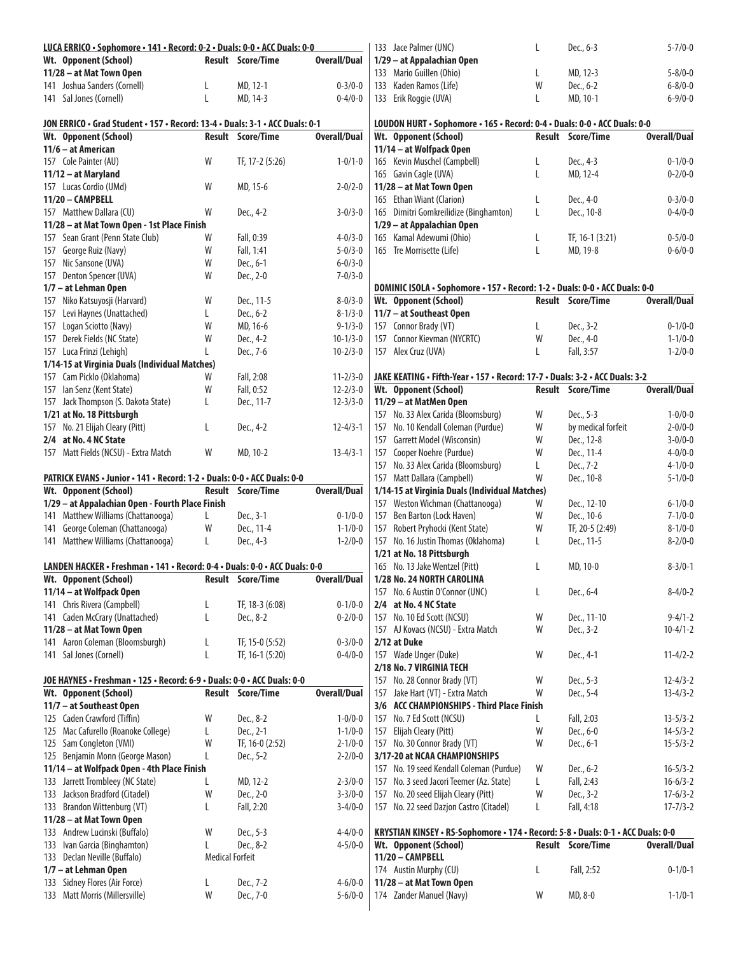| LUCA ERRICO · Sophomore · 141 · Record: 0-2 · Duals: 0-0 · ACC Duals: 0-0    |                        |                          |                     | 133 Jace Palmer (UNC)                                                            | L            | Dec., 6-3                | $5 - 7/0 - 0$       |
|------------------------------------------------------------------------------|------------------------|--------------------------|---------------------|----------------------------------------------------------------------------------|--------------|--------------------------|---------------------|
| Wt. Opponent (School)                                                        |                        | <b>Result Score/Time</b> | <b>Overall/Dual</b> | 1/29 - at Appalachian Open                                                       |              |                          |                     |
| 11/28 - at Mat Town Open                                                     |                        |                          |                     | 133 Mario Guillen (Ohio)                                                         | L            | MD, 12-3                 | $5 - 8/0 - 0$       |
| 141 Joshua Sanders (Cornell)                                                 | L                      | MD, 12-1                 | $0 - 3/0 - 0$       | 133 Kaden Ramos (Life)                                                           | W            | Dec., 6-2                | $6 - 8/0 - 0$       |
| 141 Sal Jones (Cornell)                                                      | L                      | MD, 14-3                 | $0 - 4/0 - 0$       | 133 Erik Roggie (UVA)                                                            | L            | MD, 10-1                 | $6 - 9/0 - 0$       |
|                                                                              |                        |                          |                     |                                                                                  |              |                          |                     |
| JON ERRICO • Grad Student • 157 • Record: 13-4 • Duals: 3-1 • ACC Duals: 0-1 |                        |                          |                     | LOUDON HURT · Sophomore · 165 · Record: 0-4 · Duals: 0-0 · ACC Duals: 0-0        |              |                          |                     |
| Wt. Opponent (School)                                                        |                        | <b>Result Score/Time</b> | <b>Overall/Dual</b> | Wt. Opponent (School)                                                            |              | <b>Result Score/Time</b> | <b>Overall/Dual</b> |
| 11/6 – at American                                                           |                        |                          |                     | 11/14 - at Wolfpack Open                                                         |              |                          |                     |
| 157 Cole Painter (AU)                                                        | W                      | TF, 17-2 (5:26)          | $1 - 0/1 - 0$       | 165 Kevin Muschel (Campbell)                                                     | L            | Dec., 4-3                | $0 - 1/0 - 0$       |
| 11/12 - at Maryland                                                          |                        |                          |                     | 165 Gavin Cagle (UVA)                                                            | L            | MD, 12-4                 | $0 - 2/0 - 0$       |
| 157 Lucas Cordio (UMd)                                                       | W                      | MD, 15-6                 | $2 - 0/2 - 0$       | 11/28 - at Mat Town Open                                                         |              |                          |                     |
| 11/20 - CAMPBELL                                                             |                        |                          |                     | 165 Ethan Wiant (Clarion)                                                        | L            | Dec., 4-0                | $0 - 3/0 - 0$       |
| 157 Matthew Dallara (CU)                                                     | W                      | Dec., 4-2                | $3 - 0/3 - 0$       | 165 Dimitri Gomkreilidize (Binghamton)                                           | L            | Dec., 10-8               | $0 - 4/0 - 0$       |
| 11/28 - at Mat Town Open - 1st Place Finish                                  |                        |                          |                     | 1/29 - at Appalachian Open                                                       |              |                          |                     |
| 157 Sean Grant (Penn State Club)                                             | W                      | Fall, 0:39               | $4 - 0/3 - 0$       | 165 Kamal Adewumi (Ohio)                                                         | L            | TF, 16-1 (3:21)          | $0 - 5/0 - 0$       |
|                                                                              |                        |                          |                     |                                                                                  |              |                          |                     |
| 157 George Ruiz (Navy)                                                       | W                      | Fall, 1:41               | $5 - 0/3 - 0$       | 165 Tre Morrisette (Life)                                                        | $\mathsf{L}$ | MD, 19-8                 | $0 - 6/0 - 0$       |
| 157 Nic Sansone (UVA)                                                        | W                      | Dec., 6-1                | $6 - 0/3 - 0$       |                                                                                  |              |                          |                     |
| 157 Denton Spencer (UVA)                                                     | W                      | Dec., 2-0                | $7 - 0/3 - 0$       |                                                                                  |              |                          |                     |
| 1/7 - at Lehman Open                                                         |                        |                          |                     | DOMINIC ISOLA · Sophomore · 157 · Record: 1-2 · Duals: 0-0 · ACC Duals: 0-0      |              |                          |                     |
| 157 Niko Katsuyosji (Harvard)                                                | W                      | Dec., 11-5               | $8 - 0/3 - 0$       | Wt. Opponent (School)                                                            |              | <b>Result Score/Time</b> | <b>Overall/Dual</b> |
| 157 Levi Haynes (Unattached)                                                 | L                      | Dec., 6-2                | $8 - 1/3 - 0$       | 11/7 - at Southeast Open                                                         |              |                          |                     |
| 157 Logan Sciotto (Navy)                                                     | W                      | MD, 16-6                 | $9 - 1/3 - 0$       | 157 Connor Brady (VT)                                                            | L            | Dec., 3-2                | $0 - 1/0 - 0$       |
| 157 Derek Fields (NC State)                                                  | W                      | Dec., 4-2                | $10-1/3-0$          | 157 Connor Kievman (NYCRTC)                                                      | W            | Dec., 4-0                | $1 - 1/0 - 0$       |
| 157 Luca Frinzi (Lehigh)                                                     |                        | Dec., 7-6                | $10 - 2/3 - 0$      | 157 Alex Cruz (UVA)                                                              | L            | Fall, 3:57               | $1 - 2/0 - 0$       |
| 1/14-15 at Virginia Duals (Individual Matches)                               |                        |                          |                     |                                                                                  |              |                          |                     |
| 157 Cam Picklo (Oklahoma)                                                    | W                      | Fall, 2:08               | $11 - 2/3 - 0$      | JAKE KEATING • Fifth-Year • 157 • Record: 17-7 • Duals: 3-2 • ACC Duals: 3-2     |              |                          |                     |
| 157 Ian Senz (Kent State)                                                    | W                      | Fall, 0:52               | $12 - 2/3 - 0$      | Wt. Opponent (School)                                                            |              | <b>Result Score/Time</b> | <b>Overall/Dual</b> |
| 157 Jack Thompson (S. Dakota State)                                          | L                      | Dec., 11-7               | $12 - 3/3 - 0$      | 11/29 - at MatMen Open                                                           |              |                          |                     |
| 1/21 at No. 18 Pittsburgh                                                    |                        |                          |                     | 157 No. 33 Alex Carida (Bloomsburg)                                              | W            | Dec., 5-3                | $1 - 0/0 - 0$       |
| 157 No. 21 Elijah Cleary (Pitt)                                              | L                      | Dec., 4-2                | $12 - 4/3 - 1$      | 157 No. 10 Kendall Coleman (Purdue)                                              | W            | by medical forfeit       | $2 - 0/0 - 0$       |
| 2/4 at No. 4 NC State                                                        |                        |                          |                     | 157 Garrett Model (Wisconsin)                                                    | W            | Dec., 12-8               | $3 - 0/0 - 0$       |
| 157 Matt Fields (NCSU) - Extra Match                                         | W                      | MD, 10-2                 | $13 - 4/3 - 1$      | 157 Cooper Noehre (Purdue)                                                       | W            | Dec., 11-4               | $4 - 0/0 - 0$       |
|                                                                              |                        |                          |                     | 157 No. 33 Alex Carida (Bloomsburg)                                              | L            | Dec., 7-2                | $4 - 1/0 - 0$       |
| PATRICK EVANS · Junior · 141 · Record: 1-2 · Duals: 0-0 · ACC Duals: 0-0     |                        |                          |                     | 157 Matt Dallara (Campbell)                                                      | W            | Dec., 10-8               | $5 - 1/0 - 0$       |
| Wt. Opponent (School)                                                        |                        | <b>Result Score/Time</b> | <b>Overall/Dual</b> | 1/14-15 at Virginia Duals (Individual Matches)                                   |              |                          |                     |
| 1/29 - at Appalachian Open - Fourth Place Finish                             |                        |                          |                     | 157 Weston Wichman (Chattanooga)                                                 | W            | Dec., 12-10              | $6 - 1/0 - 0$       |
| 141 Matthew Williams (Chattanooga)                                           |                        | Dec., 3-1                |                     |                                                                                  | W            |                          |                     |
|                                                                              | L                      |                          | $0 - 1/0 - 0$       | 157 Ben Barton (Lock Haven)                                                      |              | Dec., 10-6               | $7 - 1/0 - 0$       |
| 141 George Coleman (Chattanooga)                                             | W                      | Dec., 11-4               | $1 - 1/0 - 0$       | 157 Robert Pryhocki (Kent State)                                                 | W            | TF, 20-5 (2:49)          | $8 - 1/0 - 0$       |
| 141 Matthew Williams (Chattanooga)                                           | L                      | Dec., 4-3                | $1 - 2/0 - 0$       | 157 No. 16 Justin Thomas (Oklahoma)                                              | L            | Dec., 11-5               | $8 - 2/0 - 0$       |
|                                                                              |                        |                          |                     | 1/21 at No. 18 Pittsburgh                                                        |              |                          |                     |
| LANDEN HACKER · Freshman · 141 · Record: 0-4 · Duals: 0-0 · ACC Duals: 0-0   |                        |                          |                     | 165 No. 13 Jake Wentzel (Pitt)                                                   | L            | MD, 10-0                 | $8 - 3/0 - 1$       |
| Wt. Opponent (School)                                                        |                        | Result Score/Time        | <b>Overall/Dual</b> | 1/28 No. 24 NORTH CAROLINA                                                       |              |                          |                     |
| 11/14 - at Wolfpack Open                                                     |                        |                          |                     | 157 No. 6 Austin O'Connor (UNC)                                                  | L            | Dec., 6-4                | $8-4/0-2$           |
| 141 Chris Rivera (Campbell)                                                  | L                      | TF, 18-3 (6:08)          | $0 - 1/0 - 0$       | 2/4 at No. 4 NC State                                                            |              |                          |                     |
| 141 Caden McCrary (Unattached)                                               | L                      | Dec., 8-2                | $0 - 2/0 - 0$       | 157 No. 10 Ed Scott (NCSU)                                                       | W            | Dec., 11-10              | $9 - 4/1 - 2$       |
| 11/28 - at Mat Town Open                                                     |                        |                          |                     | 157 AJ Kovacs (NCSU) - Extra Match                                               | W            | Dec., 3-2                | $10 - 4/1 - 2$      |
| 141 Aaron Coleman (Bloomsburgh)                                              | L                      | TF, 15-0 (5:52)          | $0 - 3/0 - 0$       | 2/12 at Duke                                                                     |              |                          |                     |
| 141 Sal Jones (Cornell)                                                      | L                      | TF, 16-1 (5:20)          | $0 - 4/0 - 0$       | 157 Wade Unger (Duke)                                                            | W            | Dec., 4-1                | $11 - 4/2 - 2$      |
|                                                                              |                        |                          |                     | 2/18 No. 7 VIRGINIA TECH                                                         |              |                          |                     |
| JOE HAYNES • Freshman • 125 • Record: 6-9 • Duals: 0-0 • ACC Duals: 0-0      |                        |                          |                     | 157 No. 28 Connor Brady (VT)                                                     | W            | Dec., 5-3                | $12 - 4/3 - 2$      |
| Wt. Opponent (School)                                                        |                        | <b>Result Score/Time</b> | <b>Overall/Dual</b> | 157 Jake Hart (VT) - Extra Match                                                 | W            | Dec., 5-4                | $13 - 4/3 - 2$      |
| 11/7 - at Southeast Open                                                     |                        |                          |                     | 3/6 ACC CHAMPIONSHIPS - Third Place Finish                                       |              |                          |                     |
| 125 Caden Crawford (Tiffin)                                                  | W                      | Dec., 8-2                | $1 - 0/0 - 0$       | 157 No. 7 Ed Scott (NCSU)                                                        | L            | Fall, 2:03               | $13 - 5/3 - 2$      |
| 125 Mac Cafurello (Roanoke College)                                          | L                      | Dec., 2-1                | $1 - 1/0 - 0$       | 157 Elijah Cleary (Pitt)                                                         | W            | Dec., 6-0                | $14 - 5/3 - 2$      |
| 125 Sam Congleton (VMI)                                                      | W                      | TF, 16-0 (2:52)          | $2 - 1/0 - 0$       | 157 No. 30 Connor Brady (VT)                                                     |              | Dec., 6-1                | $15 - 5/3 - 2$      |
|                                                                              |                        |                          |                     |                                                                                  | W            |                          |                     |
| 125 Benjamin Monn (George Mason)                                             | L                      | Dec., 5-2                | $2 - 2/0 - 0$       | 3/17-20 at NCAA CHAMPIONSHIPS                                                    |              |                          |                     |
| 11/14 - at Wolfpack Open - 4th Place Finish                                  |                        |                          |                     | 157 No. 19 seed Kendall Coleman (Purdue)                                         | W            | Dec., 6-2                | $16 - 5/3 - 2$      |
| 133 Jarrett Trombleey (NC State)                                             | L                      | MD, 12-2                 | $2 - 3/0 - 0$       | 157 No. 3 seed Jacori Teemer (Az. State)                                         | L            | Fall, 2:43               | $16 - 6/3 - 2$      |
| 133 Jackson Bradford (Citadel)                                               | W                      | Dec., 2-0                | $3 - 3/0 - 0$       | 157 No. 20 seed Elijah Cleary (Pitt)                                             | W            | Dec., 3-2                | $17 - 6/3 - 2$      |
| 133 Brandon Wittenburg (VT)                                                  | L                      | Fall, 2:20               | $3-4/0-0$           | 157 No. 22 seed Dazjon Castro (Citadel)                                          | L            | Fall, 4:18               | $17 - 7/3 - 2$      |
| 11/28 - at Mat Town Open                                                     |                        |                          |                     |                                                                                  |              |                          |                     |
| 133 Andrew Lucinski (Buffalo)                                                | W                      | Dec., 5-3                | $4 - 4/0 - 0$       | KRYSTIAN KINSEY • RS-Sophomore • 174 • Record: 5-8 • Duals: 0-1 • ACC Duals: 0-0 |              |                          |                     |
| 133 Ivan Garcia (Binghamton)                                                 | L                      | Dec., 8-2                | $4 - 5/0 - 0$       | Wt. Opponent (School)                                                            |              | <b>Result Score/Time</b> | <b>Overall/Dual</b> |
| 133 Declan Neville (Buffalo)                                                 | <b>Medical Forfeit</b> |                          |                     | 11/20 - CAMPBELL                                                                 |              |                          |                     |
| 1/7 - at Lehman Open                                                         |                        |                          |                     | 174 Austin Murphy (CU)                                                           | L            | Fall, 2:52               | $0 - 1/0 - 1$       |
| 133 Sidney Flores (Air Force)                                                | L                      | Dec., 7-2                | $4 - 6/0 - 0$       | 11/28 - at Mat Town Open                                                         |              |                          |                     |
| 133 Matt Morris (Millersville)                                               | W                      | Dec., 7-0                | $5 - 6/0 - 0$       | 174 Zander Manuel (Navy)                                                         | W            | MD, 8-0                  | $1 - 1/0 - 1$       |
|                                                                              |                        |                          |                     |                                                                                  |              |                          |                     |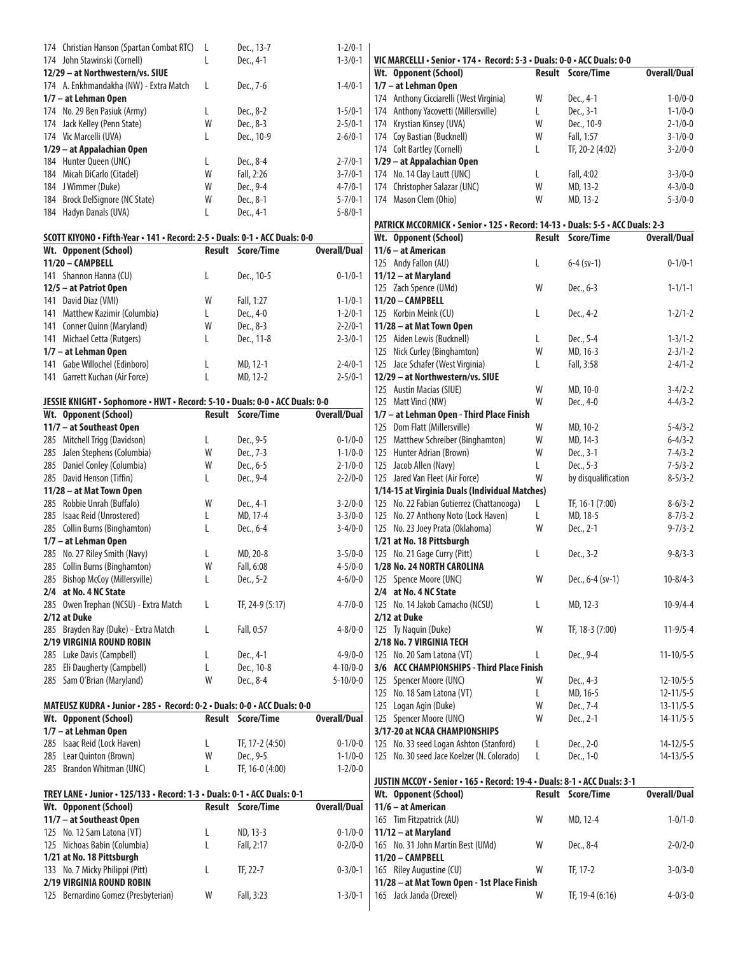| 174 Christian Hanson (Spartan Combat RTC) |   | Dec., 13-7 | $1 - 2/0 - 1$ |
|-------------------------------------------|---|------------|---------------|
| 174 John Stawinski (Cornell)              | L | Dec., 4-1  | $1 - 3/0 - 1$ |
| 12/29 - at Northwestern/vs. SIUE          |   |            |               |
| 174 A. Enkhmandakha (NW) - Extra Match    | L | Dec., 7-6  | $1 - 4/0 - 1$ |
| 1/7 – at Lehman Open                      |   |            |               |
| 174 No. 29 Ben Pasiuk (Army)              | L | Dec., 8-2  | $1 - 5/0 - 1$ |
| 174 Jack Kelley (Penn State)              | W | Dec., 8-3  | $2 - 5/0 - 1$ |
| 174 Vic Marcelli (UVA)                    | L | Dec., 10-9 | $2 - 6/0 - 1$ |
| 1/29 – at Appalachian Open                |   |            |               |
| 184 Hunter Queen (UNC)                    | L | Dec., 8-4  | $2 - 7/0 - 1$ |
| 184 Micah DiCarlo (Citadel)               | W | Fall, 2:26 | $3 - 7/0 - 1$ |
| 184 J Wimmer (Duke)                       | W | Dec., 9-4  | $4 - 7/0 - 1$ |
| 184 Brock DelSignore (NC State)           | W | Dec., 8-1  | $5 - 7/0 - 1$ |
| 184 Hadyn Danals (UVA)                    | I | Dec., 4-1  | $5 - 8/0 - 1$ |

| SCOTT KIYONO · Fifth-Year · 141 · Record: 2-5 · Duals: 0-1 · ACC Duals: 0-0 |   |                   |               |
|-----------------------------------------------------------------------------|---|-------------------|---------------|
| Wt. Opponent (School)                                                       |   | Result Score/Time | Overall/Dual  |
| 11/20 - CAMPBELL                                                            |   |                   |               |
| 141 Shannon Hanna (CU)                                                      | L | Dec., 10-5        | $0 - 1/0 - 1$ |
| 12/5 - at Patriot Open                                                      |   |                   |               |
| 141 David Diaz (VMI)                                                        | W | Fall, 1:27        | $1 - 1/0 - 1$ |
| 141 Matthew Kazimir (Columbia)                                              | L | Dec., 4-0         | $1 - 2/0 - 1$ |
| 141 Conner Quinn (Maryland)                                                 | W | Dec., 8-3         | $2 - 2/0 - 1$ |
| 141 Michael Cetta (Rutgers)                                                 | L | Dec., 11-8        | $2 - 3/0 - 1$ |
| 1/7 - at Lehman Open                                                        |   |                   |               |
| 141 Gabe Willochel (Edinboro)                                               | L | MD, 12-1          | $2 - 4/0 - 1$ |
| 141 Garrett Kuchan (Air Force)                                              |   | MD, 12-2          | $2 - 5/0 - 1$ |

#### **JESSIE KNIGHT • Sophomore • HWT • Record: 5-10 • Duals: 0-0 • ACC Duals: 0-0**

| Wt. Opponent (School)                 | Result | Score/Time      | Overall/Dual   |
|---------------------------------------|--------|-----------------|----------------|
| 11/7 – at Southeast Open              |        |                 |                |
| 285 Mitchell Trigg (Davidson)         | L      | Dec., 9-5       | $0 - 1/0 - 0$  |
| 285 Jalen Stephens (Columbia)         | W      | Dec., 7-3       | $1 - 1/0 - 0$  |
| 285 Daniel Conley (Columbia)          | W      | Dec., 6-5       | $2 - 1/0 - 0$  |
| 285 David Henson (Tiffin)             | L      | Dec., 9-4       | $2 - 2/0 - 0$  |
| 11/28 - at Mat Town Open              |        |                 |                |
| 285 Robbie Unrah (Buffalo)            | W      | Dec., 4-1       | $3 - 2/0 - 0$  |
| 285 Isaac Reid (Unrostered)           | L      | MD, 17-4        | $3 - 3/0 - 0$  |
| 285 Collin Burns (Binghamton)         | L      | Dec., 6-4       | $3 - 4/0 - 0$  |
| 1/7 – at Lehman Open                  |        |                 |                |
| 285 No. 27 Riley Smith (Navy)         | L      | MD, 20-8        | $3 - 5/0 - 0$  |
| 285 Collin Burns (Binghamton)         | W      | Fall, 6:08      | $4 - 5/0 - 0$  |
| 285 Bishop McCoy (Millersville)       | L      | Dec., 5-2       | $4 - 6/0 - 0$  |
| 2/4 at No. 4 NC State                 |        |                 |                |
| 285 Owen Trephan (NCSU) - Extra Match | L      | TF, 24-9 (5:17) | $4 - 7/0 - 0$  |
| 2/12 at Duke                          |        |                 |                |
| 285 Brayden Ray (Duke) - Extra Match  | L      | Fall, 0:57      | $4 - 8/0 - 0$  |
| 2/19 VIRGINIA ROUND ROBIN             |        |                 |                |
| 285 Luke Davis (Campbell)             | L      | Dec., 4-1       | $4 - 9/0 - 0$  |
| 285 Eli Daugherty (Campbell)          | L      | Dec., 10-8      | $4 - 10/0 - 0$ |
| 285 Sam O'Brian (Maryland)            | W      | Dec., 8-4       | $5 - 10/0 - 0$ |
|                                       |        |                 |                |

#### **MATEUSZ KUDRA • Junior • 285 • Record: 0-2 • Duals: 0-0 • ACC Duals: 0-0 Wt. Opponent** (School)

| 1/7 - at Lehman Open        |              |                 |               |
|-----------------------------|--------------|-----------------|---------------|
| 285 Isaac Reid (Lock Haven) | $\mathbf{L}$ | TF, 17-2 (4:50) | $0 - 1/0 - 0$ |
| 285 Lear Ouinton (Brown)    | W            | Dec., 9-5       | $1 - 1/0 - 0$ |
| 285 Brandon Whitman (UNC)   |              | TF, 16-0 (4:00) | $1 - 2/0 - 0$ |
|                             |              |                 |               |

| TREY LANE • Junior • 125/133 • Record: 1-3 • Duals: 0-1 • ACC Duals: 0-1 |   |                          |                     |  |  |  |  |  |
|--------------------------------------------------------------------------|---|--------------------------|---------------------|--|--|--|--|--|
| Wt. Opponent (School)                                                    |   | <b>Result Score/Time</b> | <b>Overall/Dual</b> |  |  |  |  |  |
| 11/7 - at Southeast Open                                                 |   |                          |                     |  |  |  |  |  |
| 125 No. 12 Sam Latona (VT)                                               | L | ND, 13-3                 | $0 - 1/0 - 0$       |  |  |  |  |  |
| 125 Nichoas Babin (Columbia)                                             | L | Fall, 2:17               | $0 - 2/0 - 0$       |  |  |  |  |  |
| 1/21 at No. 18 Pittsburgh                                                |   |                          |                     |  |  |  |  |  |
| 133 No. 7 Micky Philippi (Pitt)                                          |   | TF. 22-7                 | $0 - 3/0 - 1$       |  |  |  |  |  |
| <b>2/19 VIRGINIA ROUND ROBIN</b>                                         |   |                          |                     |  |  |  |  |  |
| 125 Bernardino Gomez (Presbyterian)                                      | W | Fall, 3:23               | $1 - 3/0 - 1$       |  |  |  |  |  |

| VIC MARCELLI · Senior · 174 · Record: 5-3 · Duals: 0-0 · ACC Duals: 0-0        |               |                     |                     |
|--------------------------------------------------------------------------------|---------------|---------------------|---------------------|
| Wt. Opponent (School)                                                          | Result        | Score/Time          | <b>Overall/Dual</b> |
| 1/7 - at Lehman Open                                                           |               |                     |                     |
| 174 Anthony Cicciarelli (West Virginia)                                        | W             | Dec., 4-1           | $1 - 0/0 - 0$       |
| 174 Anthony Yacovetti (Millersville)                                           | L             | Dec., 3-1           | $1 - 1/0 - 0$       |
| 174 Krystian Kinsey (UVA)                                                      | W             | Dec., 10-9          | $2 - 1/0 - 0$       |
| 174 Coy Bastian (Bucknell)                                                     | W             | Fall, 1:57          | $3 - 1/0 - 0$       |
| 174 Colt Bartley (Cornell)                                                     | L             | TF, 20-2 (4:02)     | $3 - 2/0 - 0$       |
| 1/29 - at Appalachian Open                                                     |               |                     |                     |
| 174 No. 14 Clay Lautt (UNC)                                                    | L             | Fall, 4:02          | $3 - 3/0 - 0$       |
| 174 Christopher Salazar (UNC)                                                  | W             | MD, 13-2            | $4 - 3/0 - 0$       |
| 174 Mason Clem (Ohio)                                                          | W             | MD, 13-2            | $5 - 3/0 - 0$       |
| PATRICK MCCORMICK · Senior · 125 · Record: 14-13 · Duals: 5-5 · ACC Duals: 2-3 |               |                     |                     |
| Wt. Opponent (School)                                                          | <b>Result</b> | Score/Time          | <b>Overall/Dual</b> |
| 11/6 - at American                                                             |               |                     |                     |
| 125 Andy Fallon (AU)                                                           | L             | $6-4$ (sv-1)        | $0 - 1/0 - 1$       |
| 11/12 - at Maryland                                                            |               |                     |                     |
| 125 Zach Spence (UMd)                                                          | W             | Dec., 6-3           | $1 - 1/1 - 1$       |
| 11/20 - CAMPBELL                                                               |               |                     |                     |
| 125 Korbin Meink (CU)                                                          | L             | Dec., 4-2           | $1 - 2/1 - 2$       |
| 11/28 - at Mat Town Open                                                       |               |                     |                     |
| 125 Aiden Lewis (Bucknell)                                                     | L             | Dec., 5-4           | $1 - 3/1 - 2$       |
| 125 Nick Curley (Binghamton)                                                   | W             | MD, 16-3            | $2 - 3/1 - 2$       |
| 125 Jace Schafer (West Virginia)                                               | L             | Fall, 3:58          | $2 - 4/1 - 2$       |
| 12/29 - at Northwestern/vs. SIUE                                               |               |                     |                     |
| 125 Austin Macias (SIUE)                                                       | W             | MD, 10-0            | $3 - 4/2 - 2$       |
| 125 Matt Vinci (NW)                                                            | W             | Dec., 4-0           | $4 - 4/3 - 2$       |
| 1/7 - at Lehman Open - Third Place Finish                                      |               |                     |                     |
|                                                                                | W             |                     | $5 - 4/3 - 2$       |
| 125 Dom Flatt (Millersville)                                                   | W             | MD, 10-2            |                     |
| 125 Matthew Schreiber (Binghamton)                                             |               | MD, 14-3            | $6 - 4/3 - 2$       |
| 125 Hunter Adrian (Brown)                                                      | W             | Dec., 3-1           | $7 - 4/3 - 2$       |
| 125 Jacob Allen (Navy)                                                         | L             | Dec., 5-3           | $7 - 5/3 - 2$       |
| 125 Jared Van Fleet (Air Force)                                                | W             | by disqualification | $8 - 5/3 - 2$       |
| 1/14-15 at Virginia Duals (Individual Matches)                                 |               |                     |                     |
| 125 No. 22 Fabian Gutierrez (Chattanooga)                                      | L             | TF, 16-1 (7:00)     | $8-6/3-2$           |
| 125 No. 27 Anthony Noto (Lock Haven)                                           | L             | MD, 18-5            | $8 - 7/3 - 2$       |
| 125 No. 23 Joey Prata (Oklahoma)                                               | W             | Dec., 2-1           | $9 - 7/3 - 2$       |
| 1/21 at No. 18 Pittsburgh                                                      |               |                     |                     |
| 125 No. 21 Gage Curry (Pitt)                                                   | L             | Dec., 3-2           | $9 - 8/3 - 3$       |
| 1/28 No. 24 NORTH CAROLINA                                                     |               |                     |                     |
| 125 Spence Moore (UNC)                                                         | W             | Dec., 6-4 (sv-1)    | $10 - 8/4 - 3$      |
| 2/4 at No. 4 NC State                                                          |               |                     |                     |
| 125 No. 14 Jakob Camacho (NCSU)                                                | L             | MD, 12-3            | $10-9/4-4$          |
| 2/12 at Duke                                                                   |               |                     |                     |
| 125 Ty Naguin (Duke)                                                           | W             | TF, 18-3 (7:00)     | $11 - 9/5 - 4$      |
| 2/18 No. 7 VIRGINIA TECH                                                       |               |                     |                     |
| 125 No. 20 Sam Latona (VT)                                                     | L             | Dec., 9-4           | $11 - 10/5 - 5$     |
| 3/6 ACC CHAMPIONSHIPS - Third Place Finish                                     |               |                     |                     |
| 125 Spencer Moore (UNC)                                                        | W             | Dec., 4-3           | $12 - 10/5 - 5$     |
| 125 No. 18 Sam Latona (VT)                                                     | L             | MD, 16-5            | $12 - 11/5 - 5$     |
| 125 Logan Agin (Duke)                                                          | W             | Dec., 7-4           | $13 - 11/5 - 5$     |
| 125 Spencer Moore (UNC)                                                        | W             | Dec., 2-1           | $14 - 11/5 - 5$     |
| 3/17-20 at NCAA CHAMPIONSHIPS                                                  |               |                     |                     |
| 125 No. 33 seed Logan Ashton (Stanford)                                        | L             | Dec., 2-0           | $14 - 12/5 - 5$     |
| No. 30 seed Jace Koelzer (N. Colorado)<br>125                                  | L             | Dec., 1-0           | $14 - 13/5 - 5$     |
|                                                                                |               |                     |                     |
| JUSTIN MCCOY · Senior · 165 · Record: 19-4 · Duals: 8-1 · ACC Duals: 3-1       | <b>Result</b> | Score/Time          | <b>Overall/Dual</b> |
| Wt. Opponent (School)<br>$11/6$ $-$ at American                                |               |                     |                     |

| Wt. Upponent (School)                       |   | Result Score/Time | overall/pual  |
|---------------------------------------------|---|-------------------|---------------|
| 11/6 – at American                          |   |                   |               |
| 165 Tim Fitzpatrick (AU)                    | W | MD, 12-4          | $1 - 0/1 - 0$ |
| 11/12 - at Maryland                         |   |                   |               |
| 165 No. 31 John Martin Best (UMd)           | W | Dec., 8-4         | $2 - 0/2 - 0$ |
| 11/20 - CAMPBELL                            |   |                   |               |
| 165 Riley Augustine (CU)                    | W | TF, 17-2          | $3 - 0/3 - 0$ |
| 11/28 - at Mat Town Open - 1st Place Finish |   |                   |               |
| 165 Jack Janda (Drexel)                     | W | TF, 19-4 (6:16)   | $4 - 0/3 - 0$ |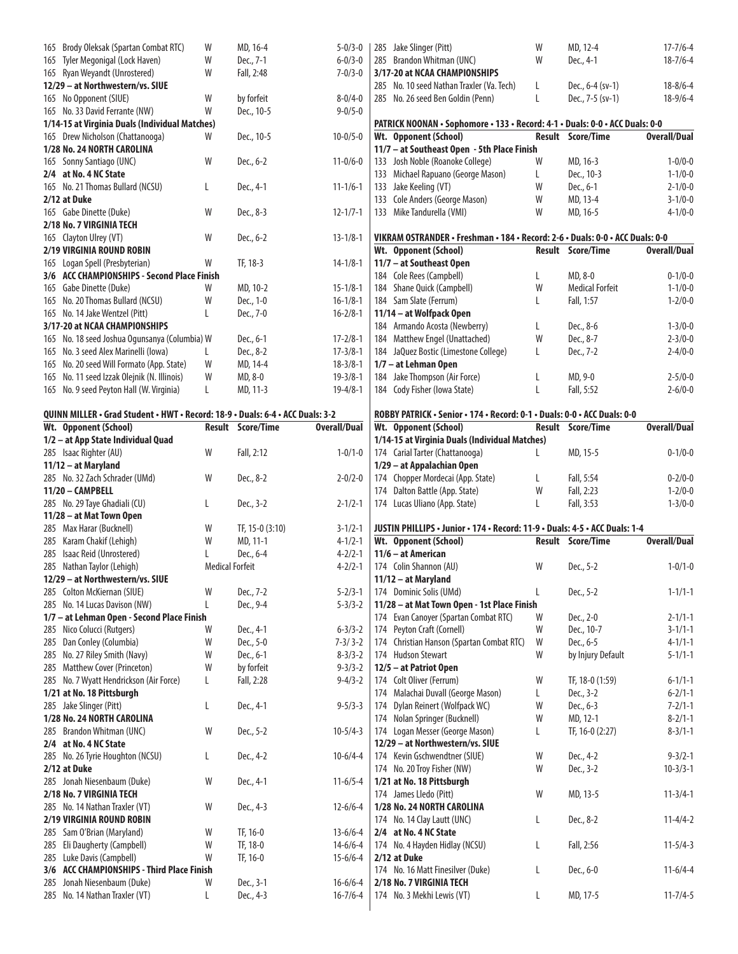| 165 Brody Oleksak (Spartan Combat RTC)                                         | W                      | MD, 16-4          | $5 - 0/3 - 0$       | 285 Jake Slinger (Pitt)                                                       | W | MD, 12-4                 | $17 - 7/6 - 4$      |
|--------------------------------------------------------------------------------|------------------------|-------------------|---------------------|-------------------------------------------------------------------------------|---|--------------------------|---------------------|
| 165 Tyler Megonigal (Lock Haven)                                               | W                      | Dec., 7-1         | $6 - 0/3 - 0$       | 285 Brandon Whitman (UNC)                                                     | W | Dec., 4-1                | $18 - 7/6 - 4$      |
|                                                                                |                        |                   |                     |                                                                               |   |                          |                     |
| 165 Ryan Weyandt (Unrostered)                                                  | W                      | Fall, 2:48        | $7 - 0/3 - 0$       | 3/17-20 at NCAA CHAMPIONSHIPS                                                 |   |                          |                     |
| 12/29 - at Northwestern/vs. SIUE                                               |                        |                   |                     | 285 No. 10 seed Nathan Traxler (Va. Tech)                                     | L | Dec., 6-4 (sv-1)         | $18 - 8/6 - 4$      |
| 165 No Opponent (SIUE)                                                         | W                      | by forfeit        | $8 - 0/4 - 0$       | 285 No. 26 seed Ben Goldin (Penn)                                             | L | Dec., 7-5 (sv-1)         | $18-9/6-4$          |
| 165 No. 33 David Ferrante (NW)                                                 | W                      | Dec., 10-5        | $9 - 0/5 - 0$       |                                                                               |   |                          |                     |
| 1/14-15 at Virginia Duals (Individual Matches)                                 |                        |                   |                     | PATRICK NOONAN · Sophomore · 133 · Record: 4-1 · Duals: 0-0 · ACC Duals: 0-0  |   |                          |                     |
| 165 Drew Nicholson (Chattanooga)                                               | W                      | Dec., 10-5        | $10 - 0/5 - 0$      | Wt. Opponent (School)                                                         |   | <b>Result Score/Time</b> | <b>Overall/Dual</b> |
| 1/28 No. 24 NORTH CAROLINA                                                     |                        |                   |                     | 11/7 - at Southeast Open - 5th Place Finish                                   |   |                          |                     |
| 165 Sonny Santiago (UNC)                                                       | W                      | Dec., 6-2         | $11 - 0/6 - 0$      | 133 Josh Noble (Roanoke College)                                              | W | MD, 16-3                 | $1 - 0/0 - 0$       |
| 2/4 at No. 4 NC State                                                          |                        |                   |                     | 133 Michael Rapuano (George Mason)                                            | L | Dec., 10-3               | $1 - 1/0 - 0$       |
| 165 No. 21 Thomas Bullard (NCSU)                                               | L                      | Dec., 4-1         | $11 - 1/6 - 1$      | 133 Jake Keeling (VT)                                                         | W | Dec., 6-1                | $2 - 1/0 - 0$       |
|                                                                                |                        |                   |                     |                                                                               |   |                          |                     |
| 2/12 at Duke                                                                   |                        |                   |                     | 133 Cole Anders (George Mason)                                                | W | MD, 13-4                 | $3 - 1/0 - 0$       |
| 165 Gabe Dinette (Duke)                                                        | W                      | Dec., 8-3         | $12 - 1/7 - 1$      | 133 Mike Tandurella (VMI)                                                     | W | MD, 16-5                 | $4 - 1/0 - 0$       |
| 2/18 No. 7 VIRGINIA TECH                                                       |                        |                   |                     |                                                                               |   |                          |                     |
| 165 Clayton Ulrey (VT)                                                         | W                      | Dec., 6-2         | $13 - 1/8 - 1$      | VIKRAM OSTRANDER • Freshman • 184 • Record: 2-6 • Duals: 0-0 • ACC Duals: 0-0 |   |                          |                     |
| 2/19 VIRGINIA ROUND ROBIN                                                      |                        |                   |                     | Wt. Opponent (School)                                                         |   | <b>Result Score/Time</b> | <b>Overall/Dual</b> |
| 165 Logan Spell (Presbyterian)                                                 | W                      | TF, 18-3          | $14 - 1/8 - 1$      | 11/7 - at Southeast Open                                                      |   |                          |                     |
| 3/6 ACC CHAMPIONSHIPS - Second Place Finish                                    |                        |                   |                     | 184 Cole Rees (Campbell)                                                      | L | MD, 8-0                  | $0 - 1/0 - 0$       |
| 165 Gabe Dinette (Duke)                                                        | W                      | MD, 10-2          | $15 - 1/8 - 1$      | 184 Shane Quick (Campbell)                                                    | W | <b>Medical Forfeit</b>   | $1 - 1/0 - 0$       |
| 165 No. 20 Thomas Bullard (NCSU)                                               | W                      | Dec., 1-0         | $16 - 1/8 - 1$      | 184 Sam Slate (Ferrum)                                                        | L | Fall, 1:57               | $1 - 2/0 - 0$       |
| 165 No. 14 Jake Wentzel (Pitt)                                                 |                        |                   |                     |                                                                               |   |                          |                     |
|                                                                                | L                      | Dec., 7-0         | $16 - 2/8 - 1$      | 11/14 - at Wolfpack Open                                                      |   |                          |                     |
| 3/17-20 at NCAA CHAMPIONSHIPS                                                  |                        |                   |                     | 184 Armando Acosta (Newberry)                                                 | L | Dec., 8-6                | $1 - 3/0 - 0$       |
| 165 No. 18 seed Joshua Ogunsanya (Columbia) W                                  |                        | Dec., 6-1         | $17 - 2/8 - 1$      | 184 Matthew Engel (Unattached)                                                | W | Dec., 8-7                | $2 - 3/0 - 0$       |
| 165 No. 3 seed Alex Marinelli (Iowa)                                           |                        | Dec., 8-2         | $17 - 3/8 - 1$      | 184 JaQuez Bostic (Limestone College)                                         | L | Dec., 7-2                | $2 - 4/0 - 0$       |
| 165 No. 20 seed Will Formato (App. State)                                      | W                      | MD, 14-4          | $18 - 3/8 - 1$      | 1/7 - at Lehman Open                                                          |   |                          |                     |
| 165 No. 11 seed Izzak Olejnik (N. Illinois)                                    | W                      | MD, 8-0           | $19 - 3/8 - 1$      | 184 Jake Thompson (Air Force)                                                 | L | MD, 9-0                  | $2 - 5/0 - 0$       |
| 165 No. 9 seed Peyton Hall (W. Virginia)                                       | L                      | MD, 11-3          | $19 - 4/8 - 1$      | 184 Cody Fisher (Iowa State)                                                  | L | Fall, 5:52               | $2 - 6/0 - 0$       |
|                                                                                |                        |                   |                     |                                                                               |   |                          |                     |
| QUINN MILLER • Grad Student • HWT • Record: 18-9 • Duals: 6-4 • ACC Duals: 3-2 |                        |                   |                     | ROBBY PATRICK · Senior · 174 · Record: 0-1 · Duals: 0-0 · ACC Duals: 0-0      |   |                          |                     |
| Wt. Opponent (School)                                                          |                        | Result Score/Time | <b>Overall/Dual</b> | Wt. Opponent (School)                                                         |   | <b>Result Score/Time</b> | <b>Overall/Dual</b> |
| 1/2 - at App State Individual Quad                                             |                        |                   |                     | 1/14-15 at Virginia Duals (Individual Matches)                                |   |                          |                     |
|                                                                                |                        |                   |                     |                                                                               |   |                          |                     |
| 285 Isaac Righter (AU)                                                         | W                      | Fall, 2:12        | $1 - 0/1 - 0$       | 174 Carial Tarter (Chattanooga)                                               | L | MD, 15-5                 | $0 - 1/0 - 0$       |
| 11/12 - at Maryland                                                            |                        |                   |                     | 1/29 - at Appalachian Open                                                    |   |                          |                     |
| 285 No. 32 Zach Schrader (UMd)                                                 | W                      | Dec., 8-2         | $2 - 0/2 - 0$       | 174 Chopper Mordecai (App. State)                                             | L | Fall, 5:54               | $0 - 2/0 - 0$       |
| 11/20 - CAMPBELL                                                               |                        |                   |                     | 174 Dalton Battle (App. State)                                                | W | Fall, 2:23               | $1 - 2/0 - 0$       |
| 285 No. 29 Taye Ghadiali (CU)                                                  | L                      | Dec., 3-2         | $2 - 1/2 - 1$       | 174 Lucas Uliano (App. State)                                                 | L | Fall, 3:53               | $1 - 3/0 - 0$       |
| 11/28 - at Mat Town Open                                                       |                        |                   |                     |                                                                               |   |                          |                     |
| 285 Max Harar (Bucknell)                                                       | W                      | TF, 15-0 (3:10)   | $3 - 1/2 - 1$       | JUSTIN PHILLIPS · Junior · 174 · Record: 11-9 · Duals: 4-5 · ACC Duals: 1-4   |   |                          |                     |
| 285 Karam Chakif (Lehigh)                                                      | W                      | MD, 11-1          | $4 - 1/2 - 1$       | Wt. Opponent (School)                                                         |   | <b>Result Score/Time</b> | <b>Overall/Dual</b> |
| 285 Isaac Reid (Unrostered)                                                    |                        | Dec., 6-4         | $4 - 2/2 - 1$       | 11/6 - at American                                                            |   |                          |                     |
| 285 Nathan Taylor (Lehigh)                                                     |                        |                   |                     |                                                                               |   |                          | $1 - 0/1 - 0$       |
|                                                                                |                        |                   |                     |                                                                               |   |                          |                     |
|                                                                                | <b>Medical Forfeit</b> |                   | $4 - 2/2 - 1$       | 174 Colin Shannon (AU)                                                        | W | Dec., 5-2                |                     |
| 12/29 - at Northwestern/vs. SIUE                                               |                        |                   |                     | 11/12 - at Maryland                                                           |   |                          |                     |
| 285 Colton McKiernan (SIUE)                                                    | W                      | Dec., 7-2         | $5 - 2/3 - 1$       | 174 Dominic Solis (UMd)                                                       | L | Dec., 5-2                | $1 - 1/1 - 1$       |
| 285 No. 14 Lucas Davison (NW)                                                  | L                      | Dec., 9-4         | $5 - 3/3 - 2$       | 11/28 - at Mat Town Open - 1st Place Finish                                   |   |                          |                     |
| 1/7 - at Lehman Open - Second Place Finish                                     |                        |                   |                     | 174 Evan Canoyer (Spartan Combat RTC)                                         | W | Dec., 2-0                | $2 - 1/1 - 1$       |
| 285 Nico Colucci (Rutgers)                                                     | W                      | Dec., 4-1         | $6 - 3/3 - 2$       | 174 Peyton Craft (Cornell)                                                    | W | Dec., 10-7               | $3 - 1/1 - 1$       |
| 285 Dan Conley (Columbia)                                                      | W                      | Dec., 5-0         | $7 - 3/3 - 2$       | 174 Christian Hanson (Spartan Combat RTC)                                     | W | Dec., 6-5                | $4 - 1/1 - 1$       |
|                                                                                | W                      |                   |                     |                                                                               | W |                          |                     |
| 285 No. 27 Riley Smith (Navy)                                                  | W                      | Dec., 6-1         | $8 - 3/3 - 2$       | 174 Hudson Stewart                                                            |   | by Injury Default        | $5 - 1/1 - 1$       |
| 285 Matthew Cover (Princeton)                                                  |                        | by forfeit        | $9 - 3/3 - 2$       | 12/5 - at Patriot Open                                                        |   |                          |                     |
| 285 No. 7 Wyatt Hendrickson (Air Force)                                        | L                      | Fall, 2:28        | $9 - 4/3 - 2$       | 174 Colt Oliver (Ferrum)                                                      | W | TF, 18-0 (1:59)          | $6 - 1/1 - 1$       |
| 1/21 at No. 18 Pittsburgh                                                      |                        |                   |                     | 174 Malachai Duvall (George Mason)                                            | L | Dec., 3-2                | $6 - 2/1 - 1$       |
| 285 Jake Slinger (Pitt)                                                        | L                      | Dec., 4-1         | $9 - 5/3 - 3$       | 174 Dylan Reinert (Wolfpack WC)                                               | W | Dec., 6-3                | $7 - 2/1 - 1$       |
| 1/28 No. 24 NORTH CAROLINA                                                     |                        |                   |                     | 174 Nolan Springer (Bucknell)                                                 | W | MD, 12-1                 | $8 - 2/1 - 1$       |
| 285 Brandon Whitman (UNC)                                                      | W                      | Dec., 5-2         | $10-5/4-3$          | 174 Logan Messer (George Mason)                                               | L | TF, 16-0 (2:27)          | $8 - 3/1 - 1$       |
| 2/4 at No. 4 NC State                                                          |                        |                   |                     | 12/29 - at Northwestern/vs. SIUE                                              |   |                          |                     |
| 285 No. 26 Tyrie Houghton (NCSU)                                               | L.                     | Dec., 4-2         | $10-6/4-4$          | 174 Kevin Gschwendtner (SIUE)                                                 | W | Dec., 4-2                | $9 - 3/2 - 1$       |
|                                                                                |                        |                   |                     |                                                                               | W |                          |                     |
| 2/12 at Duke                                                                   | W                      |                   |                     | 174 No. 20 Troy Fisher (NW)                                                   |   | Dec., 3-2                | $10-3/3-1$          |
| 285 Jonah Niesenbaum (Duke)                                                    |                        | Dec., 4-1         | $11-6/5-4$          | 1/21 at No. 18 Pittsburgh                                                     |   |                          |                     |
| 2/18 No. 7 VIRGINIA TECH                                                       |                        |                   |                     | 174 James Lledo (Pitt)                                                        | W | MD, 13-5                 | $11-3/4-1$          |
| 285 No. 14 Nathan Traxler (VT)                                                 | W                      | Dec., 4-3         | $12 - 6/6 - 4$      | 1/28 No. 24 NORTH CAROLINA                                                    |   |                          |                     |
| 2/19 VIRGINIA ROUND ROBIN                                                      |                        |                   |                     | 174 No. 14 Clay Lautt (UNC)                                                   | L | Dec., 8-2                | $11 - 4/4 - 2$      |
| 285 Sam O'Brian (Maryland)                                                     | W                      | TF, 16-0          | $13 - 6/6 - 4$      | 2/4 at No. 4 NC State                                                         |   |                          |                     |
| 285 Eli Daugherty (Campbell)                                                   | W                      | TF, 18-0          | $14-6/6-4$          | 174 No. 4 Hayden Hidlay (NCSU)                                                | L | Fall, 2:56               | $11 - 5/4 - 3$      |
| 285 Luke Davis (Campbell)                                                      | W                      | TF, 16-0          | $15 - 6/6 - 4$      | 2/12 at Duke                                                                  |   |                          |                     |
| 3/6 ACC CHAMPIONSHIPS - Third Place Finish                                     |                        |                   |                     | 174 No. 16 Matt Finesilver (Duke)                                             | L | Dec., 6-0                | $11-6/4-4$          |
| 285 Jonah Niesenbaum (Duke)                                                    | W                      | Dec., 3-1         | $16 - 6/6 - 4$      | 2/18 No. 7 VIRGINIA TECH                                                      |   |                          |                     |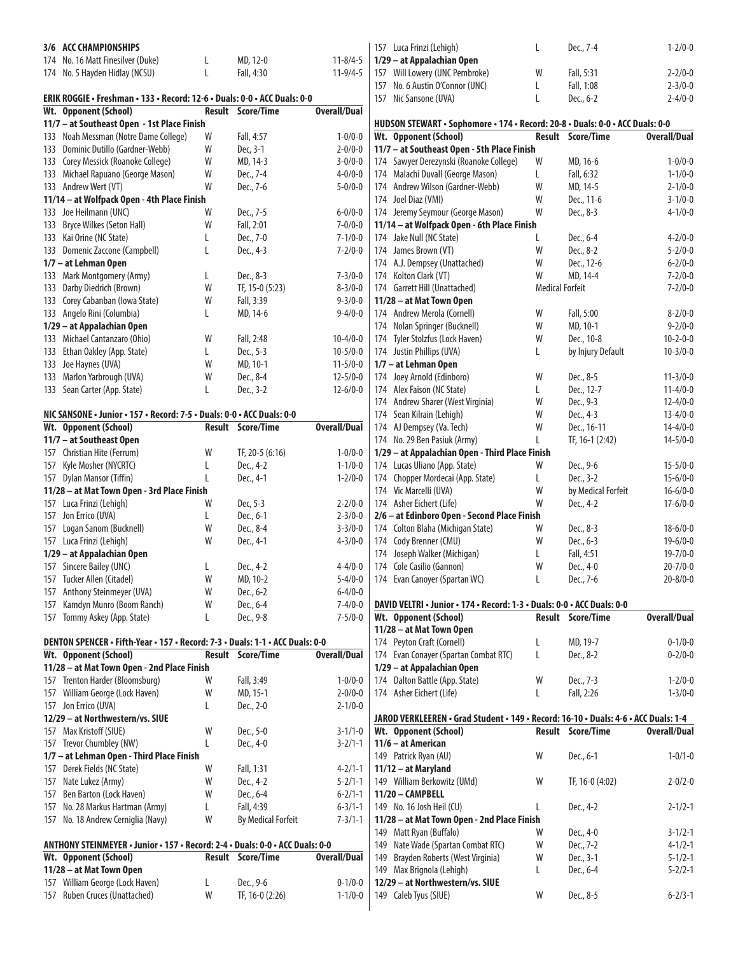| 3/6 ACC CHAMPIONSHIPS                                                         |   |                           |                     | 157 Luca Frinzi (Lehigh)                                                            | L                      | Dec., 7-4                | $1 - 2/0 - 0$       |
|-------------------------------------------------------------------------------|---|---------------------------|---------------------|-------------------------------------------------------------------------------------|------------------------|--------------------------|---------------------|
| 174 No. 16 Matt Finesilver (Duke)                                             | L | MD, 12-0                  | $11 - 8/4 - 5$      | 1/29 - at Appalachian Open                                                          |                        |                          |                     |
| 174 No. 5 Hayden Hidlay (NCSU)                                                | L | Fall, 4:30                | $11 - 9/4 - 5$      | 157 Will Lowery (UNC Pembroke)                                                      | W                      | Fall, 5:31               | $2 - 2/0 - 0$       |
|                                                                               |   |                           |                     | 157 No. 6 Austin O'Connor (UNC)                                                     | L                      | Fall, 1:08               | $2 - 3/0 - 0$       |
| ERIK ROGGIE • Freshman • 133 • Record: 12-6 • Duals: 0-0 • ACC Duals: 0-0     |   |                           |                     | 157 Nic Sansone (UVA)                                                               | L                      | Dec., 6-2                | $2 - 4/0 - 0$       |
| Wt. Opponent (School)                                                         |   | <b>Result Score/Time</b>  | <b>Overall/Dual</b> |                                                                                     |                        |                          |                     |
| 11/7 - at Southeast Open - 1st Place Finish                                   |   |                           |                     | HUDSON STEWART · Sophomore · 174 · Record: 20-8 · Duals: 0-0 · ACC Duals: 0-0       |                        |                          |                     |
| 133 Noah Messman (Notre Dame College)                                         | W | Fall, 4:57                | $1 - 0/0 - 0$       | Wt. Opponent (School)                                                               |                        | <b>Result Score/Time</b> | <b>Overall/Dual</b> |
| 133 Dominic Dutillo (Gardner-Webb)                                            | W | Dec, 3-1                  | $2 - 0/0 - 0$       | 11/7 - at Southeast Open - 5th Place Finish                                         |                        |                          |                     |
| 133 Corey Messick (Roanoke College)                                           | W | MD, 14-3                  | $3 - 0/0 - 0$       | 174 Sawyer Derezynski (Roanoke College)                                             | W                      | MD, 16-6                 | $1 - 0/0 - 0$       |
| 133 Michael Rapuano (George Mason)                                            | W | Dec., 7-4                 | $4 - 0/0 - 0$       | 174 Malachi Duvall (George Mason)                                                   | L                      | Fall, 6:32               | $1 - 1/0 - 0$       |
| 133 Andrew Wert (VT)                                                          | W | Dec., 7-6                 | $5 - 0/0 - 0$       | 174 Andrew Wilson (Gardner-Webb)                                                    | W                      | MD, 14-5                 | $2 - 1/0 - 0$       |
| 11/14 - at Wolfpack Open - 4th Place Finish                                   |   |                           |                     | 174 Joel Diaz (VMI)                                                                 | W                      | Dec., 11-6               | $3 - 1/0 - 0$       |
| 133 Joe Heilmann (UNC)                                                        | W | Dec., 7-5                 | $6 - 0/0 - 0$       | 174 Jeremy Seymour (George Mason)                                                   | W                      | Dec., 8-3                | $4 - 1/0 - 0$       |
| 133 Bryce Wilkes (Seton Hall)                                                 | W | Fall, 2:01                | $7 - 0/0 - 0$       | 11/14 - at Wolfpack Open - 6th Place Finish                                         |                        |                          |                     |
| 133 Kai Orine (NC State)                                                      | L | Dec., 7-0                 | $7 - 1/0 - 0$       | 174 Jake Null (NC State)                                                            |                        | Dec., 6-4                | $4 - 2/0 - 0$       |
| 133 Domenic Zaccone (Campbell)                                                | L | Dec., 4-3                 | $7 - 2/0 - 0$       | 174 James Brown (VT)                                                                | W                      | Dec., 8-2                | $5 - 2/0 - 0$       |
| 1/7 - at Lehman Open                                                          |   |                           |                     | 174 A.J. Dempsey (Unattached)                                                       | W                      | Dec., 12-6               | $6 - 2/0 - 0$       |
| 133 Mark Montgomery (Army)                                                    | L | Dec., 8-3                 | $7 - 3/0 - 0$       | 174 Kolton Clark (VT)                                                               | W                      | MD, 14-4                 | $7 - 2/0 - 0$       |
| 133 Darby Diedrich (Brown)                                                    | W | TF, 15-0 (5:23)           | $8 - 3/0 - 0$       | 174 Garrett Hill (Unattached)                                                       | <b>Medical Forfeit</b> |                          | $7 - 2/0 - 0$       |
| 133 Corey Cabanban (Iowa State)                                               | W | Fall, 3:39                | $9 - 3/0 - 0$       | 11/28 - at Mat Town Open                                                            |                        |                          |                     |
| 133 Angelo Rini (Columbia)                                                    | L | MD, 14-6                  | $9 - 4/0 - 0$       | 174 Andrew Merola (Cornell)                                                         | W                      | Fall, 5:00               | $8 - 2/0 - 0$       |
| 1/29 - at Appalachian Open                                                    |   |                           |                     |                                                                                     | W                      | MD, 10-1                 | $9 - 2/0 - 0$       |
| 133 Michael Cantanzaro (Ohio)                                                 |   |                           |                     | 174 Nolan Springer (Bucknell)                                                       | W                      |                          |                     |
|                                                                               | W | Fall, 2:48                | $10 - 4/0 - 0$      | 174 Tyler Stolzfus (Lock Haven)                                                     |                        | Dec., 10-8               | $10 - 2 - 0 - 0$    |
| 133 Ethan Oakley (App. State)                                                 | L | Dec., 5-3                 | $10 - 5/0 - 0$      | 174 Justin Phillips (UVA)                                                           | L                      | by Injury Default        | $10 - 3/0 - 0$      |
| 133 Joe Haynes (UVA)                                                          | W | MD, 10-1                  | $11 - 5/0 - 0$      | 1/7 - at Lehman Open                                                                |                        |                          |                     |
| 133 Marlon Yarbrough (UVA)                                                    | W | Dec., 8-4                 | $12 - 5/0 - 0$      | 174 Joey Arnold (Edinboro)                                                          | W                      | Dec., 8-5                | $11 - 3/0 - 0$      |
| 133 Sean Carter (App. State)                                                  | L | Dec., 3-2                 | $12 - 6/0 - 0$      | 174 Alex Faison (NC State)                                                          | L                      | Dec., 12-7               | $11 - 4/0 - 0$      |
|                                                                               |   |                           |                     | 174 Andrew Sharer (West Virginia)                                                   | W                      | Dec., 9-3                | $12 - 4/0 - 0$      |
| NIC SANSONE • Junior • 157 • Record: 7-5 • Duals: 0-0 • ACC Duals: 0-0        |   |                           |                     | 174 Sean Kilrain (Lehigh)                                                           | W                      | Dec., 4-3                | $13 - 4/0 - 0$      |
| Wt. Opponent (School)                                                         |   | <b>Result Score/Time</b>  | <b>Overall/Dual</b> | 174 AJ Dempsey (Va. Tech)                                                           | W                      | Dec., 16-11              | $14 - 4/0 - 0$      |
| 11/7 - at Southeast Open                                                      |   |                           |                     | 174 No. 29 Ben Pasiuk (Army)                                                        |                        | TF, 16-1 (2:42)          | $14 - 5/0 - 0$      |
| 157 Christian Hite (Ferrum)                                                   | W | TF, 20-5 (6:16)           | $1 - 0/0 - 0$       | 1/29 - at Appalachian Open - Third Place Finish                                     |                        |                          |                     |
| 157 Kyle Mosher (NYCRTC)                                                      | L | Dec., 4-2                 | $1 - 1/0 - 0$       | 174 Lucas Uliano (App. State)                                                       | W                      | Dec., 9-6                | $15 - 5/0 - 0$      |
| 157 Dylan Mansor (Tiffin)                                                     | L | Dec., 4-1                 | $1 - 2/0 - 0$       | 174 Chopper Mordecai (App. State)                                                   | L                      | Dec., 3-2                | $15 - 6/0 - 0$      |
| 11/28 - at Mat Town Open - 3rd Place Finish                                   |   |                           |                     | 174 Vic Marcelli (UVA)                                                              | W                      | by Medical Forfeit       | $16 - 6/0 - 0$      |
| 157 Luca Frinzi (Lehigh)                                                      | W | Dec, 5-3                  | $2 - 2/0 - 0$       | 174 Asher Eichert (Life)                                                            | W                      | Dec., 4-2                | $17 - 6/0 - 0$      |
| 157 Jon Errico (UVA)                                                          | L | Dec., 6-1                 | $2 - 3/0 - 0$       | 2/6 – at Edinboro Open - Second Place Finish                                        |                        |                          |                     |
| 157 Logan Sanom (Bucknell)                                                    | W | Dec., 8-4                 | $3 - 3/0 - 0$       | 174 Colton Blaha (Michigan State)                                                   | W                      | Dec., 8-3                | $18 - 6/0 - 0$      |
| 157 Luca Frinzi (Lehigh)                                                      | W | Dec., 4-1                 | $4 - 3/0 - 0$       | 174 Cody Brenner (CMU)                                                              | W                      | Dec., 6-3                | $19 - 6/0 - 0$      |
| 1/29 - at Appalachian Open                                                    |   |                           |                     | 174 Joseph Walker (Michigan)                                                        | L.                     | Fall, 4:51               | $19 - 7/0 - 0$      |
| 157 Sincere Bailey (UNC)                                                      | L | Dec., 4-2                 | $4 - 4/0 - 0$       | 174 Cole Casilio (Gannon)                                                           | W                      | Dec., 4-0                | $20 - 7/0 - 0$      |
| 157 Tucker Allen (Citadel)                                                    | W | MD, 10-2                  | $5 - 4/0 - 0$       | 174 Evan Canoyer (Spartan WC)                                                       |                        | Dec., 7-6                | $20 - 8/0 - 0$      |
| 157 Anthony Steinmeyer (UVA)                                                  | W | Dec., 6-2                 | $6 - 4/0 - 0$       |                                                                                     |                        |                          |                     |
| 157 Kamdyn Munro (Boom Ranch)                                                 | W | Dec., 6-4                 | $7 - 4/0 - 0$       | DAVID VELTRI · Junior · 174 · Record: 1-3 · Duals: 0-0 · ACC Duals: 0-0             |                        |                          |                     |
| 157 Tommy Askey (App. State)                                                  | L | Dec., 9-8                 | $7 - 5/0 - 0$       | Wt. Opponent (School)                                                               |                        | <b>Result Score/Time</b> | <b>Overall/Dual</b> |
|                                                                               |   |                           |                     | 11/28 - at Mat Town Open                                                            |                        |                          |                     |
| DENTON SPENCER · Fifth-Year · 157 · Record: 7-3 · Duals: 1-1 · ACC Duals: 0-0 |   |                           |                     | 174 Peyton Craft (Cornell)                                                          | L                      | MD, 19-7                 | $0 - 1/0 - 0$       |
| Wt. Opponent (School)                                                         |   | <b>Result Score/Time</b>  | <b>Overall/Dual</b> | 174 Evan Conayer (Spartan Combat RTC)                                               | L.                     | Dec., 8-2                | $0 - 2/0 - 0$       |
| 11/28 - at Mat Town Open - 2nd Place Finish                                   |   |                           |                     | 1/29 - at Appalachian Open                                                          |                        |                          |                     |
| 157 Trenton Harder (Bloomsburg)                                               | W | Fall, 3:49                | $1 - 0/0 - 0$       | 174 Dalton Battle (App. State)                                                      | W                      | Dec., 7-3                | $1 - 2/0 - 0$       |
| 157 William George (Lock Haven)                                               | W | MD, 15-1                  | $2 - 0/0 - 0$       | 174 Asher Eichert (Life)                                                            | L                      | Fall, 2:26               | $1 - 3/0 - 0$       |
| 157 Jon Errico (UVA)                                                          | L | Dec., 2-0                 | $2 - 1/0 - 0$       |                                                                                     |                        |                          |                     |
| 12/29 - at Northwestern/vs. SIUE                                              |   |                           |                     | JAROD VERKLEEREN • Grad Student • 149 • Record: 16-10 • Duals: 4-6 • ACC Duals: 1-4 |                        |                          |                     |
| 157 Max Kristoff (SIUE)                                                       | W | Dec., 5-0                 | $3 - 1/1 - 0$       | Wt. Opponent (School)                                                               |                        | <b>Result Score/Time</b> | <b>Overall/Dual</b> |
|                                                                               | L |                           |                     | 11/6 - at American                                                                  |                        |                          |                     |
| 157 Trevor Chumbley (NW)                                                      |   | Dec., 4-0                 | $3 - 2/1 - 1$       |                                                                                     |                        |                          |                     |
| 1/7 - at Lehman Open - Third Place Finish                                     |   |                           |                     | 149 Patrick Ryan (AU)                                                               | W                      | Dec., 6-1                | $1 - 0/1 - 0$       |
| 157 Derek Fields (NC State)                                                   | W | Fall, 1:31                | $4 - 2/1 - 1$       | 11/12 - at Maryland                                                                 |                        |                          |                     |
| 157 Nate Lukez (Army)                                                         | W | Dec., 4-2                 | $5 - 2/1 - 1$       | 149 William Berkowitz (UMd)                                                         | W                      | TF, 16-0 (4:02)          | $2 - 0/2 - 0$       |
| 157 Ben Barton (Lock Haven)                                                   | W | Dec., 6-4                 | $6 - 2/1 - 1$       | 11/20 - CAMPBELL                                                                    |                        |                          |                     |
| 157 No. 28 Markus Hartman (Army)                                              | L | Fall, 4:39                | $6 - 3/1 - 1$       | 149 No. 16 Josh Heil (CU)                                                           |                        | Dec., 4-2                | $2 - 1/2 - 1$       |
| 157 No. 18 Andrew Cerniglia (Navy)                                            | W | <b>By Medical Forfeit</b> | $7 - 3/1 - 1$       | 11/28 - at Mat Town Open - 2nd Place Finish                                         |                        |                          |                     |
|                                                                               |   |                           |                     | 149 Matt Ryan (Buffalo)                                                             | W                      | Dec., 4-0                | $3 - 1/2 - 1$       |
| ANTHONY STEINMEYER · Junior · 157 · Record: 2-4 · Duals: 0-0 · ACC Duals: 0-0 |   |                           |                     | 149 Nate Wade (Spartan Combat RTC)                                                  | W                      | Dec., 7-2                | $4 - 1/2 - 1$       |
| Wt. Opponent (School)                                                         |   | Result Score/Time         | <b>Overall/Dual</b> | 149 Brayden Roberts (West Virginia)                                                 | W                      | Dec., 3-1                | $5 - 1/2 - 1$       |
| 11/28 - at Mat Town Open                                                      |   |                           |                     | 149 Max Brignola (Lehigh)                                                           | L                      | Dec., 6-4                | $5 - 2/2 - 1$       |
| 157 William George (Lock Haven)                                               | L | Dec., 9-6                 | $0 - 1/0 - 0$       | 12/29 - at Northwestern/vs. SIUE                                                    |                        |                          |                     |
| 157 Ruben Cruces (Unattached)                                                 | W | TF, 16-0 (2:26)           | $1 - 1/0 - 0$       | 149 Caleb Tyus (SIUE)                                                               | W                      | Dec., 8-5                | $6 - 2/3 - 1$       |
|                                                                               |   |                           |                     |                                                                                     |                        |                          |                     |